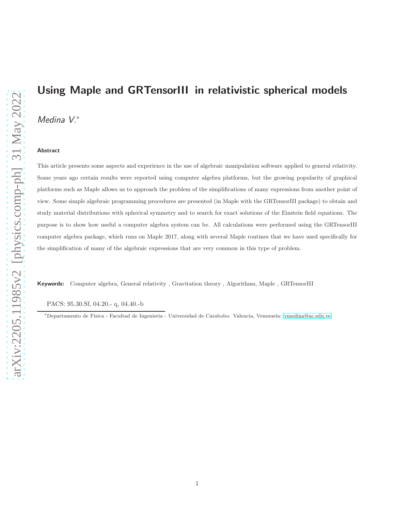# Using Maple and GRTensorIII in relativistic spherical models

Medina V.<sup>∗</sup>

#### Abstract

This article presents some aspects and experience in the use of algebraic manipulation software applied to general relativity. Some years ago certain results were reported using computer algebra platforms, but the growing popularity of graphical platforms such as Maple allows us to approach the problem of the simplifications of many expressions from another point of view. Some simple algebraic programming procedures are presented (in Maple with the GRTensorIII package) to obtain and study material distributions with spherical symmetry and to search for exact solutions of the Einstein field equations. The purpose is to show how useful a computer algebra system can be. All calculations were performed using the GRTensorIII computer algebra package, which runs on Maple 2017, along with several Maple routines that we have used specifically for the simplification of many of the algebraic expressions that are very common in this type of problem.

Keywords: Computer algebra, General relativity , Gravitation theory , Algorithms, Maple , GRTensorIII

PACS: 95.30.Sf, 04.20.- q, 04.40.-b

<sup>∗</sup>Departamento de Fisica - Facultad de Ingenieria - Universidad de Carabobo. Valencia, Venezuela: [vmedina@uc.edu.ve](mailto:vmedina@uc.edu.ve)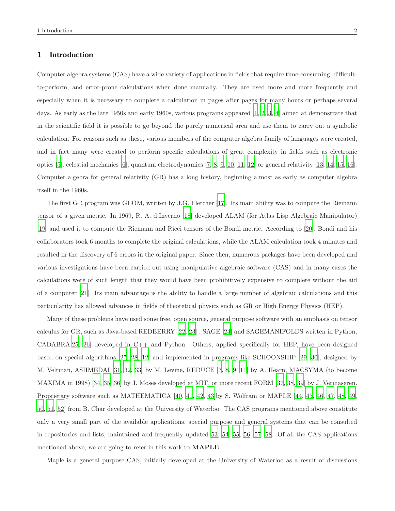## 1 Introduction

Computer algebra systems (CAS) have a wide variety of applications in fields that require time-consuming, difficultto-perform, and error-prone calculations when done manually. They are used more and more frequently and especially when it is necessary to complete a calculation in pages after pages for many hours or perhaps several days. As early as the late 1950s and early 1960s, various programs appeared [\[1](#page-25-0), [2](#page-25-1), [3,](#page-26-0) [4\]](#page-26-1) aimed at demonstrate that in the scientific field it is possible to go beyond the purely numerical area and use them to carry out a symbolic calculation. For reasons such as these, various members of the computer algebra family of languages were created, and in fact many were created to perform specific calculations of great complexity in fields such as electronic optics [\[5\]](#page-26-2), celestial mechanics [\[6\]](#page-26-3), quantum electrodynamics [\[7,](#page-26-4) [8](#page-26-5), [9,](#page-26-6) [10,](#page-26-7) [11](#page-26-8), [12](#page-26-9)] or general relativity [\[13,](#page-27-0) [14,](#page-27-1) [15,](#page-27-2) [16](#page-27-3)]. Computer algebra for general relativity (GR) has a long history, beginning almost as early as computer algebra itself in the 1960s.

The first GR program was GEOM, written by J.G. Fletcher [\[17\]](#page-27-4). Its main ability was to compute the Riemann tensor of a given metric. In 1969, R. A. d'Inverno [\[18\]](#page-27-5) developed ALAM (for Atlas Lisp Algebraic Manipulator) [\[19](#page-27-6)] and used it to compute the Riemann and Ricci tensors of the Bondi metric. According to [\[20\]](#page-27-7), Bondi and his collaborators took 6 months to complete the original calculations, while the ALAM calculation took 4 minutes and resulted in the discovery of 6 errors in the original paper. Since then, numerous packages have been developed and various investigations have been carried out using manipulative algebraic software (CAS) and in many cases the calculations were of such length that they would have been prohibitively expensive to complete without the aid of a computer [\[21\]](#page-27-8). Its main advantage is the ability to handle a large number of algebraic calculations and this particularity has allowed advances in fields of theoretical physics such as GR or High Energy Physics (HEP).

Many of these problems have used some free, open source, general purpose software with an emphasis on tensor calculus for GR, such as Java-based REDBERRY [\[22](#page-27-9), [23\]](#page-27-10) , SAGE [\[24](#page-27-11)] and SAGEMANIFOLDS written in Python, CADABRA[\[25,](#page-28-0) [26](#page-28-1)] developed in C++ and Python. Others, applied specifically for HEP, have been designed based on special algorithms [\[27,](#page-28-2) [28](#page-28-3), [12\]](#page-26-9) and implemented in programs like SCHOONSHIP [\[29,](#page-28-4) [30](#page-28-5)], designed by M. Veltman, ASHMEDAI [\[31,](#page-28-6) [32,](#page-28-7) [33\]](#page-28-8) by M. Levine, REDUCE [\[7,](#page-26-4) [8,](#page-26-5) [9](#page-26-6), [11](#page-26-8)] by A. Hearn, MACSYMA (to become MAXIMA in 1998) [\[34](#page-28-9), [35,](#page-28-10) [36](#page-29-0)] by J. Moses developed at MIT, or more recent FORM [\[37,](#page-29-1) [38](#page-29-2), [39\]](#page-29-3) by J. Vermaseren. Proprietary software such as MATHEMATICA [\[40](#page-29-4), [41,](#page-29-5) [42](#page-29-6), [43\]](#page-29-7)by S. Wolfram or MAPLE [\[44](#page-29-8), [45,](#page-29-9) [46](#page-29-10), [47,](#page-29-11) [48](#page-30-0), [49,](#page-30-1) [50,](#page-30-2) [51,](#page-30-3) [52](#page-30-4)] from B. Char developed at the University of Waterloo. The CAS programs mentioned above constitute only a very small part of the available applications, special purpose and general systems that can be consulted in repositories and lists, maintained and frequently updated [53,](#page-30-5) [54](#page-30-6), [55](#page-30-7), [56,](#page-30-8) [57,](#page-30-9) [58](#page-30-10). Of all the CAS applications mentioned above, we are going to refer in this work to **MAPLE**.

Maple is a general purpose CAS, initially developed at the University of Waterloo as a result of discussions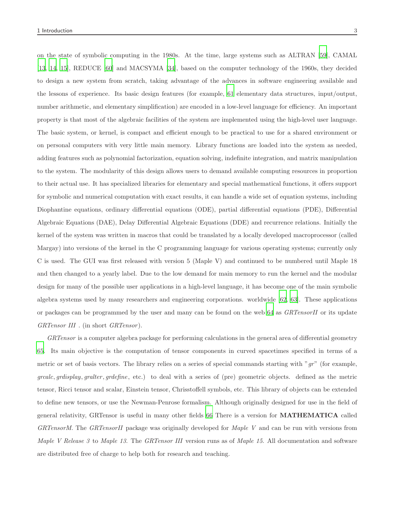on the state of symbolic computing in the 1980s. At the time, large systems such as ALTRAN [\[59](#page-30-11)], CAMAL [\[13](#page-27-0), [14](#page-27-1), [15\]](#page-27-2), REDUCE [\[60\]](#page-30-12) and MACSYMA [\[34\]](#page-28-9), based on the computer technology of the 1960s, they decided to design a new system from scratch, taking advantage of the advances in software engineering available and the lessons of experience. Its basic design features (for example, [61](#page-31-0) elementary data structures, input/output, number arithmetic, and elementary simplification) are encoded in a low-level language for efficiency. An important property is that most of the algebraic facilities of the system are implemented using the high-level user language. The basic system, or kernel, is compact and efficient enough to be practical to use for a shared environment or on personal computers with very little main memory. Library functions are loaded into the system as needed, adding features such as polynomial factorization, equation solving, indefinite integration, and matrix manipulation to the system. The modularity of this design allows users to demand available computing resources in proportion to their actual use. It has specialized libraries for elementary and special mathematical functions, it offers support for symbolic and numerical computation with exact results, it can handle a wide set of equation systems, including Diophantine equations, ordinary differential equations (ODE), partial differential equations (PDE), Differential Algebraic Equations (DAE), Delay Differential Algebraic Equations (DDE) and recurrence relations. Initially the kernel of the system was written in macros that could be translated by a locally developed macroprocessor (called Margay) into versions of the kernel in the C programming language for various operating systems; currently only C is used. The GUI was first released with version 5 (Maple V) and continued to be numbered until Maple 18 and then changed to a yearly label. Due to the low demand for main memory to run the kernel and the modular design for many of the possible user applications in a high-level language, it has become one of the main symbolic algebra systems used by many researchers and engineering corporations. worldwide [\[62,](#page-31-1) [63\]](#page-31-2). These applications or packages can be programmed by the user and many can be found on the web [64](#page-31-3) as GRTensorII or its update GRTensor III . (in short GRTensor).

GRTensor is a computer algebra package for performing calculations in the general area of differential geometry [65.](#page-31-4) Its main objective is the computation of tensor components in curved spacetimes specified in terms of a metric or set of basis vectors. The library relies on a series of special commands starting with " $gr$ " (for example, grcalc, grdisplay, gralter , grdefine, etc.) to deal with a series of (pre) geometric objects. defined as the metric tensor, Ricci tensor and scalar, Einstein tensor, Chrisstoffell symbols, etc. This library of objects can be extended to define new tensors, or use the Newman-Penrose formalism. Although originally designed for use in the field of general relativity, GRTensor is useful in many other fields [66](#page-31-5) There is a version for MATHEMATICA called GRTensorM. The GRTensorII package was originally developed for Maple V and can be run with versions from Maple V Release 3 to Maple 13. The GRTensor III version runs as of Maple 15. All documentation and software are distributed free of charge to help both for research and teaching.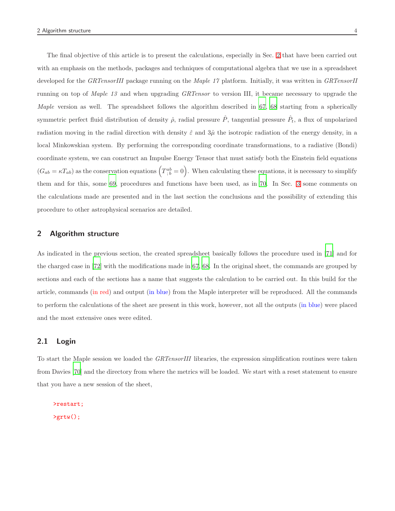The final objective of this article is to present the calculations, especially in Sec. [2](#page-3-0) that have been carried out with an emphasis on the methods, packages and techniques of computational algebra that we use in a spreadsheet developed for the GRTensorIII package running on the Maple 17 platform. Initially, it was written in GRTensorII running on top of Maple 13 and when upgrading GRTensor to version III, it became necessary to upgrade the Maple version as well. The spreadsheet follows the algorithm described in [67,](#page-31-6) [68](#page-31-7) starting from a spherically symmetric perfect fluid distribution of density  $\hat{\rho}$ , radial pressure  $\hat{P}$ , tangential pressure  $\hat{P}_t$ , a flux of unpolarized radiation moving in the radial direction with density  $\hat{\varepsilon}$  and  $3\hat{\mu}$  the isotropic radiation of the energy density, in a local Minkowskian system. By performing the corresponding coordinate transformations, to a radiative (Bondi) coordinate system, we can construct an Impulse Energy Tensor that must satisfy both the Einstein field equations  $(G_{ab} = \kappa T_{ab})$  as the conservation equations  $(T_{;b}^{ab} = 0)$ . When calculating these equations, it is necessary to simplify them and for this, some [69,](#page-31-8) procedures and functions have been used, as in [70.](#page-31-9) In Sec. [3](#page-24-0) some comments on the calculations made are presented and in the last section the conclusions and the possibility of extending this procedure to other astrophysical scenarios are detailed.

## <span id="page-3-0"></span>2 Algorithm structure

As indicated in the previous section, the created spreadsheet basically follows the procedure used in [\[71\]](#page-31-10) and for the charged case in [\[72\]](#page-32-0) with the modifications made in [67](#page-31-6), [68.](#page-31-7) In the original sheet, the commands are grouped by sections and each of the sections has a name that suggests the calculation to be carried out. In this build for the article, commands (in red) and output (in blue) from the Maple interpreter will be reproduced. All the commands to perform the calculations of the sheet are present in this work, however, not all the outputs (in blue) were placed and the most extensive ones were edited.

## 2.1 Login

To start the Maple session we loaded the GRTensorIII libraries, the expression simplification routines were taken from Davies [\[70\]](#page-31-9) and the directory from where the metrics will be loaded. We start with a reset statement to ensure that you have a new session of the sheet,

>restart;  $>$ grtw $()$ ;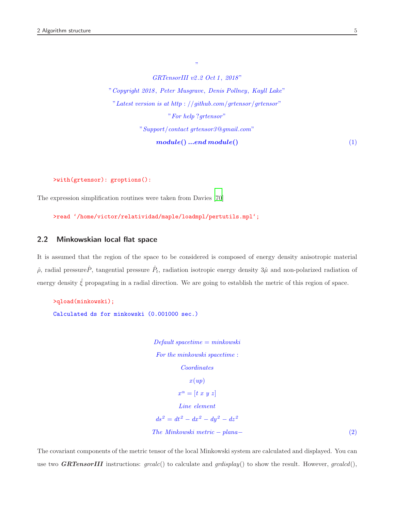GRTensorIII v2.2 Oct 1, 2018" "Copyright 2018, Peter Musgrave, Denis Pollney, Kayll Lake" "Latest version is at http : //github.com/grtensor/grtensor" "For help ?grtensor" "Support/contact grtensor3@gmail.com"  $module() ...end module()$  (1)

"

>with(grtensor): groptions():

The expression simplification routines were taken from Davies [\[70](#page-31-9)]

>read '/home/victor/relatividad/maple/loadmpl/pertutils.mpl';

## 2.2 Minkowskian local flat space

It is assumed that the region of the space to be considered is composed of energy density anisotropic material  $\hat{\rho}$ , radial pressure  $\hat{P}$ , tangential pressure  $\hat{P}_t$ , radiation isotropic energy density  $3\hat{\mu}$  and non-polarized radiation of energy density  $\hat{\xi}$  propagating in a radial direction. We are going to establish the metric of this region of space.

```
>qload(minkowski);
Calculated ds for minkowski (0.001000 sec.)
```
 $Default\ spacetime = minkowski$ For the minkowski spacetime : Coordinates  $x(up)$  $x^{\alpha} = [t \; x \; y \; z]$ Line element  $ds^2 = dt^2 - dx^2 - dy^2 - dz^2$  $The Minkowski metric - plana-$  (2)

The covariant components of the metric tensor of the local Minkowski system are calculated and displayed. You can use two **GRTensorIII** instructions:  $grcalc()$  to calculate and  $grdisplay()$  to show the result. However,  $grcaled(),$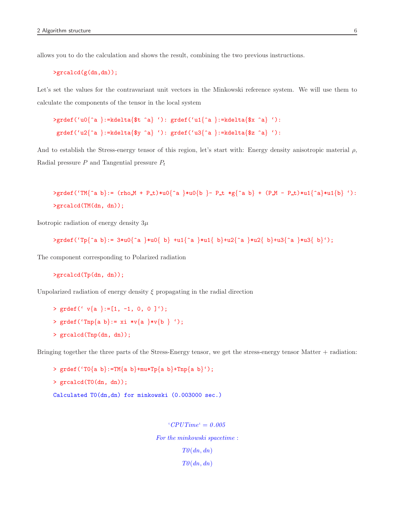allows you to do the calculation and shows the result, combining the two previous instructions.

```
>grcalcd(g(dn,dn));
```
Let's set the values for the contravariant unit vectors in the Minkowski reference system. We will use them to calculate the components of the tensor in the local system

```
>grdef('u0{^a }:=kdelta{$t ^a} '): grdef('u1{^a }:=kdelta{$x ^a} '):
grdef('u2{^a }:=kdelta{$y ^a} '): grdef('u3{^a }:=kdelta{$z ^a} '):
```
And to establish the Stress-energy tensor of this region, let's start with: Energy density anisotropic material  $\rho$ , Radial pressure  $P$  and Tangential pressure  $P_t$ 

 $\text{2grdef}('TM^a b):= (\text{rho } M + P_t)*u0^{-a} *u0^{-b} - P_t *g^{-a} b + (P_M - P_t)*u1^{-a} *u1^{b}$  '): >grcalcd(TM(dn, dn));

Isotropic radiation of energy density  $3\mu$ 

```
\sqrt{2} >grdef('Tp{^a b}:= 3*u0{^a }*u0{ b} +u1{^a }*u1{ b}+u2{^a }*u2{ b}+u3{^a }*u3{ b}');
```
The component corresponding to Polarized radiation

```
>grcalcd(Tp(dn, dn));
```
Unpolarized radiation of energy density  $\xi$  propagating in the radial direction

> grdef('  $v{a}$  }:=[1, -1, 0, 0 ]'); > grdef('Tnp{a b}: = xi \*v{a }\*v{b } '); > grcalcd(Tnp(dn, dn));

Bringing together the three parts of the Stress-Energy tensor, we get the stress-energy tensor Matter + radiation:

```
> grdef('T0{a b}:=TM{a b}+mu*Tp{a b}+Tnp{a b}');
> grcalcd(T0(dn, dn));
Calculated T0(dn,dn) for minkowski (0.003000 sec.)
```
 $°CPUTime' = 0.005$ For the minkowski spacetime :  $T\theta(dn, dn)$  $T\theta(dn, dn)$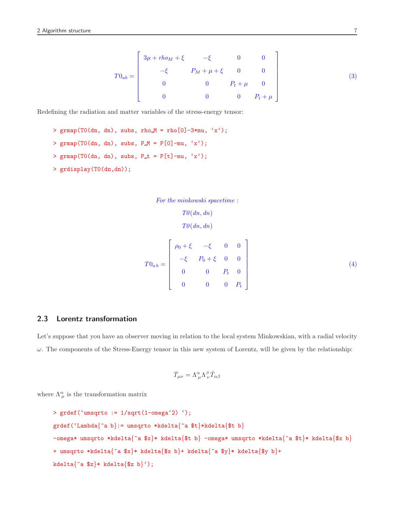$$
T0_{ab} = \begin{bmatrix} 3\mu + rho_M + \xi & -\xi & 0 & 0 \\ -\xi & P_M + \mu + \xi & 0 & 0 \\ 0 & 0 & P_t + \mu & 0 \\ 0 & 0 & 0 & P_t + \mu \end{bmatrix}
$$
(3)

Redefining the radiation and matter variables of the stress-energy tensor:

> grmap(T0(dn, dn), subs, rho $M =$ rho[0]-3\*mu, 'x'); >  $\gamma$  grmap(T0(dn, dn), subs, P\_M = P[0]-mu, 'x'); > grmap(TO(dn, dn), subs,  $P_t = P[t]-mu, 'x')$ ; > grdisplay(T0(dn,dn));

```
For the minkowski spacetime :
               T\theta(dn, dn)T\theta(dn, dn)T0_{a\,b}=\sqrt{ }

            \rho_0 + \xi - \xi = 0 = 0-\xi  P_0 + \xi  0 0
               0   P_t   00 \t 0 \t P_t1
                                          \overline{\phantom{a}}
```
## 2.3 Lorentz transformation

Let's suppose that you have an observer moving in relation to the local system Minkowskian, with a radial velocity  $\omega$ . The components of the Stress-Energy tensor in this new system of Lorentz, will be given by the relationship:

$$
\bar{T}_{\mu\nu}=\Lambda^\alpha_{\ \mu}\Lambda^\beta_{\ \nu}\hat{T}_{\alpha\beta}
$$

where  $\Lambda^{\alpha}_{\mu}$  is the transformation matrix

```
> grdef('umsqrto := 1/sqrt(1-omega^2) ');
grdef('Lambda{^a b}:= umsqrto *kdelta{^a $t}*kdelta{$t b}
-omega* umsqrto *kdelta{^a $x}* kdelta{$t b} -omega* umsqrto *kdelta{^a $t}* kdelta{$x b}
+ umsqrto *kdelta{^a $x}* kdelta{$x b}+ kdelta{^a $y}* kdelta{$y b}+
kdelta\{a \2}* kdelta\{x \}b}');
```
(4)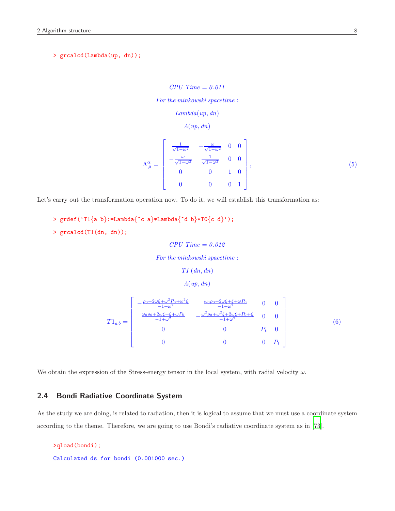> grcalcd(Lambda(up, dn));

```
CPU Time = 0.011For the minkowski spacetime :
                Lambda(up, dn)
                    \Lambda(u p, dn)\Lambda^{\alpha}_{\mu} =\sqrt{ }

              \frac{1}{\sqrt{1-\omega^2}} -\frac{\omega}{\sqrt{1-\omega^2}} 0 0
             -\frac{\omega}{\sqrt{1-\omega^2}} \frac{1}{\sqrt{1-\omega^2}} 0 0
                  0 0 1 0
                  0 \qquad 0 \qquad 0 \qquad 11
                                                   \overline{\phantom{a}}, (5)
```
Let's carry out the transformation operation now. To do it, we will establish this transformation as:

```
> grdef('T1{a b}:=Lambda{^c a}*Lambda{^d b}*T0{c d}');
```

```
> grcalcd(T1(dn, dn));
```
 $CPU Time = 0.012$ 

For the minkowski spacetime :

```
T1 (dn, dn)
```

```
\Lambda(u p, d n)
```

$$
T1_{ab} = \begin{bmatrix} -\frac{\rho_0 + 2\omega\xi + \omega^2 P_0 + \omega^2\xi}{-1 + \omega^2} & \frac{\omega_0\rho_0 + 2\omega\xi + \xi + \omega P_0}{-1 + \omega^2} & 0 & 0\\ \frac{\omega_0\rho_0 + 2\omega\xi + \xi + \omega P_0}{-1 + \omega^2} & -\frac{\omega^2\rho_0 + \omega^2\xi + 2\omega\xi + P_0 + \xi}{-1 + \omega^2} & 0 & 0\\ 0 & 0 & P_t & 0\\ 0 & 0 & 0 & P_t \end{bmatrix} \tag{6}
$$

<span id="page-7-0"></span>We obtain the expression of the Stress-energy tensor in the local system, with radial velocity  $\omega$ .

## 2.4 Bondi Radiative Coordinate System

As the study we are doing, is related to radiation, then it is logical to assume that we must use a coordinate system according to the theme. Therefore, we are going to use Bondi's radiative coordinate system as in [\[73\]](#page-32-1).

```
>qload(bondi);
Calculated ds for bondi (0.001000 sec.)
```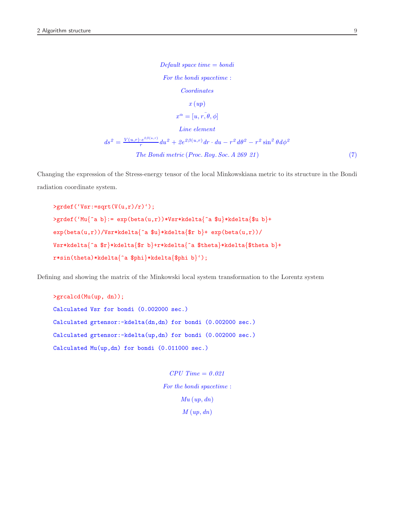$Default\ space\ time = bondi$ For the bondi spacetime : Coordinates  $x (up)$  $x^{\alpha} = [u, r, \bar{\theta}, \phi]$ Line element  $ds^2 = \frac{V(u,r) \cdot e^{i \beta(u,r)}}{r}$  $\int_{r}^{+\epsilon^{2\beta(u,r)}}du^2+2e^{2\beta(u,r)}dr\cdot du-r^2\,d\theta^2-r^2\sin^2\theta\,d\phi^2$  $The Bondi metric (Proc. Roy. Soc. A 269 21)$  (7)

Changing the expression of the Stress-energy tensor of the local Minkowskiana metric to its structure in the Bondi radiation coordinate system.

 $\rangle$ grdef('Vsr:=sqrt(V(u,r)/r)');  $\text{Perdef}('Mu^a b):= \exp(\beta(a, r)) * Vsr * kdelta[ta^a b] * kdelta[ta^b b] +$  $exp(beta(u,r))/Vsr*kdelta{a^a\infty}$ kdelta{ $\text{if } b\}+ exp(beta(u,r))/$ Vsr\*kdelta{^a \$r}\*kdelta{\$r b}+r\*kdelta{^a \$theta}\*kdelta{\$theta b}<sup>+</sup> r\*sin(theta)\*kdelta{^a \$phi}\*kdelta{\$phi b}');

Defining and showing the matrix of the Minkowski local system transformation to the Lorentz system

>grcalcd(Mu(up, dn)); Calculated Vsr for bondi (0.002000 sec.) Calculated grtensor:-kdelta(dn,dn) for bondi (0.002000 sec.) Calculated grtensor:-kdelta(up,dn) for bondi (0.002000 sec.) Calculated Mu(up,dn) for bondi (0.011000 sec.)

> $CPU Time = 0.021$ For the bondi spacetime :  $Mu(up, dn)$  $M(up, dn)$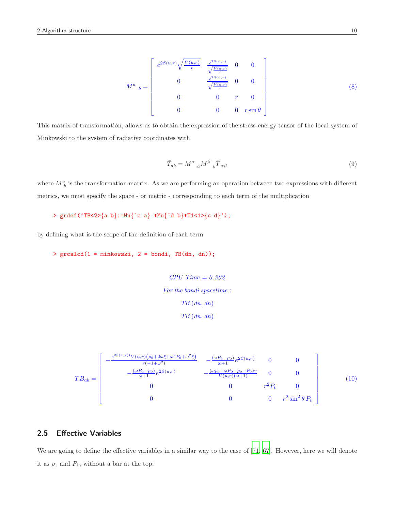$$
M^{a}{}_{b} = \begin{bmatrix} e^{2\beta(u,r)} \sqrt{\frac{V(u,r)}{r}} & \frac{e^{2\beta(u,r)}}{\sqrt{\frac{V(u,r)}{r}}} & 0 & 0\\ 0 & \frac{e^{2\beta(u,r)}}{\sqrt{\frac{V(u,r)}{r}}} & 0 & 0\\ 0 & 0 & r & 0\\ 0 & 0 & 0 & r \sin \theta \end{bmatrix}
$$
 (8)

This matrix of transformation, allows us to obtain the expression of the stress-energy tensor of the local system of Minkowski to the system of radiative coordinates with

<span id="page-9-0"></span>
$$
\bar{T}_{ab} = M^{\alpha}{}_{a} M^{\beta}{}_{b} \hat{T}_{\alpha\beta} \tag{9}
$$

where  $M_b^a$  is the transformation matrix. As we are performing an operation between two expressions with different metrics, we must specify the space - or metric - corresponding to each term of the multiplication

```
> grdef('TB<2>{a b}:=Mu{^c a} *Mu{^d b}*T1<1>{c d}');
```
by defining what is the scope of the definition of each term

> grcalcd(1 = minkowski, 2 = bondi, TB(dn, dn));

 $CPU Time = 0.202$ For the bondi spacetime :  $TB(dn, dn)$  $TB(dn, dn)$ 

$$
TB_{ab} = \begin{bmatrix} -\frac{e^{2\beta(u,r)}V(u,r)(\rho_0 + 2\omega\xi + \omega^2 P_0 + \omega^2\xi)}{r(-1+\omega^2)} & -\frac{(\omega P_0 - \rho_0)}{\omega+1}e^{2\beta(u,r)} & 0 & 0\\ -\frac{(\omega P_0 - \rho_0)}{\omega+1}e^{2\beta(u,r)} & -\frac{(\omega \rho_0 + \omega P_0 - \rho_0 - P_0)r}{V(u,r)(\omega+1)} & 0 & 0\\ 0 & 0 & r^2 P_t & 0\\ 0 & 0 & 0 & r^2 \sin^2\theta P_t \end{bmatrix} \tag{10}
$$

## 2.5 Effective Variables

We are going to define the effective variables in a similar way to the case of [\[71,](#page-31-10) [67\]](#page-31-6). However, here we will denote it as  $\rho_1$  and  $P_1$ , without a bar at the top: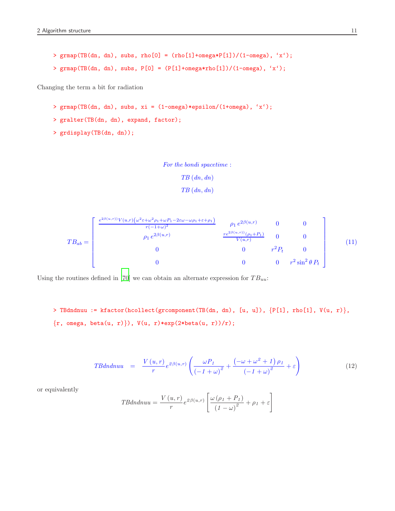```
> grmap(TB(dn, dn), subs, rho[0] = (rho[1]+omega\epsilon)*P[1]/(1-omega\epsilon), 'x');
> grmap(TB(dn, dn), subs, P[0] = (P[1] + \omega) * \omegarho[1])/(1-omega), 'x');
```
Changing the term a bit for radiation

- >  $\gamma$  grmap(TB(dn, dn), subs, xi = (1-omega)\*epsilon/(1+omega), 'x');
- > gralter(TB(dn, dn), expand, factor);
- > grdisplay(TB(dn, dn));

For the bondi spacetime :

```
TB (dn, dn)
```

```
TB(dn, dn)
```

$$
TB_{ab} = \begin{bmatrix} \frac{e^{2\beta(u,r)}V(u,r)(\omega^2 \varepsilon + \omega^2 \rho_1 + \omega P_1 - 2\varepsilon\omega - \omega \rho_1 + \varepsilon + \rho_1)}{r(-1+\omega)^2} & \rho_1 e^{2\beta(u,r)} & 0 & 0\\ \rho_1 e^{2\beta(u,r)} & \frac{re^{2\beta(u,r)}(\rho_1 + P_1)}{V(u,r)} & 0 & 0\\ 0 & 0 & r^2 P_t & 0\\ 0 & 0 & 0 & r^2 \sin^2 \theta P_t \end{bmatrix}
$$
(11)

Using the routines defined in [\[70\]](#page-31-9) we can obtain an alternate expression for  $TB_{uu}$ :

> TBdndnuu := kfactor(hcollect(grcomponent(TB(dn, dn), [u, u]), {P[1], rho[1], V(u, r)},  $\{r, \text{omega}, \text{beta}(u, r)\}\)$ ,  $V(u, r) * exp(2 * beta(u, r))/r)$ ;

$$
TBdn dnuu = \frac{V(u,r)}{r} e^{2\beta(u,r)} \left( \frac{\omega P_1}{\left(-1+\omega\right)^2} + \frac{\left(-\omega + \omega^2 + 1\right)\rho_1}{\left(-1+\omega\right)^2} + \varepsilon \right)
$$
(12)

or equivalently

$$
TBdndnuu = \frac{V(u,r)}{r}e^{2\beta(u,r)}\left[\frac{\omega(\rho_1 + P_1)}{(1 - \omega)^2} + \rho_1 + \varepsilon\right]
$$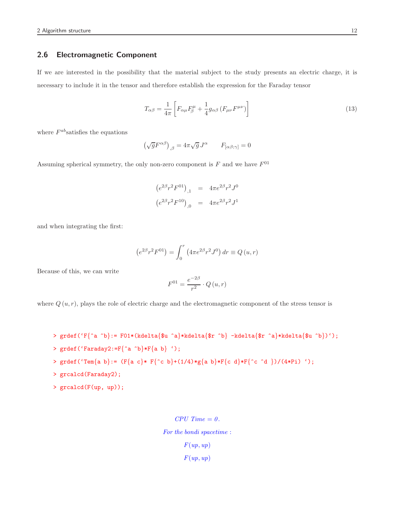## 2.6 Electromagnetic Component

If we are interested in the possibility that the material subject to the study presents an electric charge, it is necessary to include it in the tensor and therefore establish the expression for the Faraday tensor

$$
T_{\alpha\beta} = \frac{1}{4\pi} \left[ F_{\alpha\mu} F_{\beta}^{\mu} + \frac{1}{4} g_{\alpha\beta} \left( F_{\mu\nu} F^{\mu\nu} \right) \right]
$$
(13)

where  $F^{ab}$  satisfies the equations

$$
\left(\sqrt{g}F^{\alpha\beta}\right)_{,\beta}=4\pi\sqrt{g}\,J^{\alpha}\qquad F_{[\alpha\beta;\gamma]}=0
$$

Assuming spherical symmetry, the only non-zero component is  $F$  and we have  $F^{01}$ 

$$
(e^{2\beta}r^2F^{01})_{,1} = 4\pi e^{2\beta}r^2J^0
$$

$$
(e^{2\beta}r^2F^{10})_{,0} = 4\pi e^{2\beta}r^2J^1
$$

and when integrating the first:

$$
(e^{2\beta}r^2F^{01}) = \int_0^r (4\pi e^{2\beta}r^2J^0) dr \equiv Q(u,r)
$$

Because of this, we can write

$$
F^{01} = \frac{e^{-2\beta}}{r^2} \cdot Q(u, r)
$$

where  $Q(u, r)$ , plays the role of electric charge and the electromagnetic component of the stress tensor is

```
> grdef('F{^a ^b}:= F01*(kdelta{$u ^a}*kdelta{$r ^b} -kdelta{$r ^a}*kdelta{$u ^b})');
```

```
> grdef('Faraday2:=F{^a ^b}*F{a b} ');
```
> 
$$
\text{grdef}(\text{Tem}\{a\ b\}) := (\text{F}\{a\ c\} * \text{F}\{\text{`c}\ b\} + (1/4) * \text{g}\{a\ b\} * \text{F}\{\text{`c}\ d\} * \text{F}\{\text{`c}\ \text{`d}\})/(4 * \text{Pi}) \text{'});
$$

- > grcalcd(Faraday2);
- > grcalcd(F(up, up));

```
CPU Time = 0.For the bondi spacetime :
      F(up, up)F(up, up)
```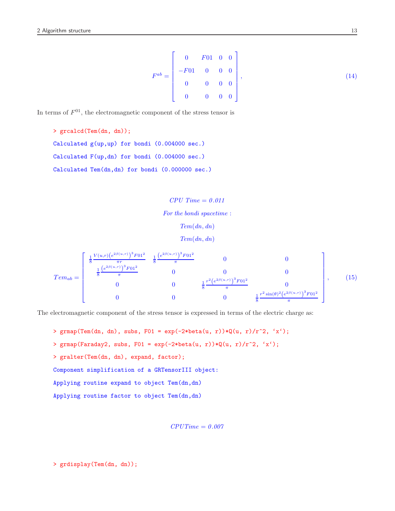$$
F^{ab} = \begin{bmatrix} 0 & F01 & 0 & 0 \\ -F01 & 0 & 0 & 0 \\ 0 & 0 & 0 & 0 \\ 0 & 0 & 0 & 0 \end{bmatrix},
$$
(14)

In terms of  $F^{01}$ , the electromagnetic component of the stress tensor is

> grcalcd(Tem(dn, dn)); Calculated g(up,up) for bondi (0.004000 sec.) Calculated F(up,dn) for bondi (0.004000 sec.) Calculated Tem(dn,dn) for bondi (0.000000 sec.)

> $CPU Time = 0.011$ For the bondi spacetime :  $Tem(dn, dn)$  $Tem(dn, dn)$

$$
Temp_{ab} = \begin{bmatrix} \frac{1}{8} \frac{V(u,r)(e^{2\beta(u,r)})^3 F01^2}{\pi r} & \frac{1}{8} \frac{(e^{2\beta(u,r)})^3 F01^2}{\pi} & 0 & 0\\ \frac{1}{8} \frac{(e^{2\beta(u,r)})^3 F01^2}{\pi} & 0 & 0 & 0\\ 0 & 0 & \frac{1}{8} \frac{r^2 (e^{2\beta(u,r)})^3 F01^2}{\pi} & 0\\ 0 & 0 & 0 & \frac{1}{8} \frac{r^2 \sin(\theta)^2 (e^{2\beta(u,r)})^3 F01^2}{\pi} \end{bmatrix},
$$
(15)

The electromagnetic component of the stress tensor is expressed in terms of the electric charge as:

> grmap(Tem(dn, dn), subs, F01 = exp(-2\*beta(u, r))\*Q(u, r)/r^2, 'x');

$$
>
$$
 `grmap(Faraday2, subs, F01 = exp(-2*beta(u, r))*Q(u, r)/r^2, 'x')`;

> gralter(Tem(dn, dn), expand, factor);

Component simplification of a GRTensorIII object:

Applying routine expand to object Tem(dn,dn)

Applying routine factor to object Tem(dn,dn)

 $CPUTime = 0.007$ 

> grdisplay(Tem(dn, dn));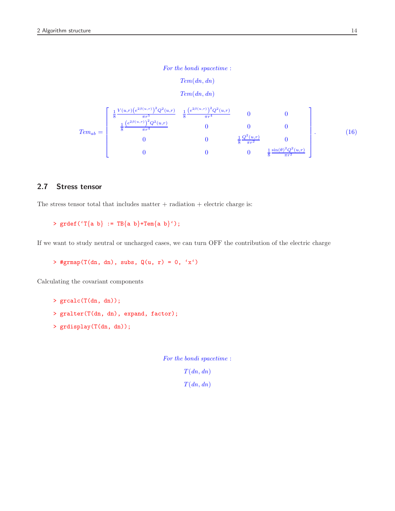For the bondi spacetime :

Tem(dn, dn)  $Tem(dn, dn)$ 

$$
Tem_{ab} = \begin{bmatrix} \frac{1}{8} \frac{V(u,r)(e^{2\beta(u,r)})^2 Q^2(u,r)}{\pi r^5} & \frac{1}{8} \frac{(e^{2\beta(u,r)})^2 Q^2(u,r)}{\pi r^4} & 0 & 0\\ \frac{1}{8} \frac{(e^{2\beta(u,r)})^2 Q^2(u,r)}{\pi r^4} & 0 & 0 & 0\\ 0 & 0 & \frac{1}{8} \frac{Q^2(u,r)}{\pi r^2} & 0\\ 0 & 0 & 0 & \frac{1}{8} \frac{\sin(\theta)^2 Q^2(u,r)}{\pi r^2} \end{bmatrix} . \tag{16}
$$

## 2.7 Stress tensor

The stress tensor total that includes matter  $+$  radiation  $+$  electric charge is:

```
> grdef('T{a b} := TB{a b}+Tem{a b}');
```
If we want to study neutral or uncharged cases, we can turn OFF the contribution of the electric charge

> #grmap(T(dn, dn), subs,  $Q(u, r) = 0, 'x')$ 

Calculating the covariant components

```
> grcalc(T(dn, dn));
```
- > gralter(T(dn, dn), expand, factor);
- > grdisplay(T(dn, dn));

For the bondi spacetime :  $T(dn, dn)$  $T(dn, dn)$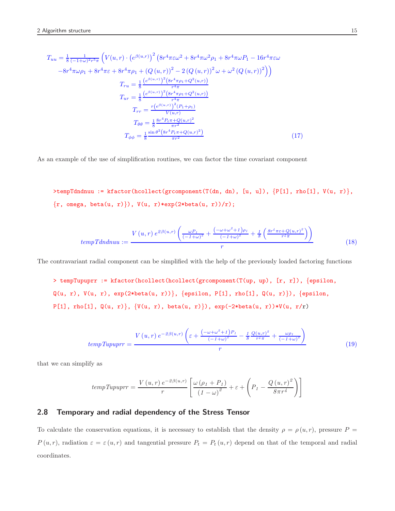$$
T_{uu} = \frac{1}{8} \frac{1}{(-1+\omega)^2 r^5 \pi} \left( V(u,r) \cdot \left( e^{\beta(u,r)} \right)^2 \left( 8r^4 \pi \varepsilon \omega^2 + 8r^4 \pi \omega^2 \rho_1 + 8r^4 \pi \omega P_1 - 16r^4 \pi \varepsilon \omega \right) \right)
$$
  

$$
-8r^4 \pi \omega \rho_1 + 8r^4 \pi \varepsilon + 8r^4 \pi \rho_1 + \left( Q(u,r) \right)^2 - 2 \left( Q(u,r) \right)^2 \omega + \omega^2 \left( Q(u,r) \right)^2 \right)
$$
  

$$
T_{ru} = \frac{1}{8} \frac{\left( e^{\beta(u,r)} \right)^2 \left( 8r^4 \pi \rho_1 + Q^2(u,r) \right)}{r^4 \pi}
$$
  

$$
T_{ur} = \frac{1}{8} \frac{\left( e^{\beta(u,r)} \right)^2 \left( 8r^4 \pi \rho_1 + Q^2(u,r) \right)}{r^4 \pi}
$$
  

$$
T_{rr} = \frac{r \left( e^{\beta(u,r)} \right)^2 (P_1 + \rho_1)}{V(u,r)}
$$
  

$$
T_{\theta\theta} = \frac{1}{8} \frac{8r^4 P_t \pi + Q(u,r)^2}{\pi r^2}
$$
  

$$
T_{\phi\phi} = \frac{1}{8} \frac{\sin \theta^2 \left( 8r^4 P_t \pi + Q(u,r)^2 \right)}{\pi r^2}
$$
 (17)

As an example of the use of simplification routines, we can factor the time covariant component

>tempTdndnuu := kfactor(hcollect(grcomponent(T(dn, dn), [u, u]), {P[1], rho[1], V(u, r)},  $\{r, \text{omega}, \text{beta}(u, r)\}\)$ ,  $V(u, r) * exp(2 * beta(u, r))/r)$ ;

$$
tempTdndnuu := \frac{V(u,r) e^{2\beta(u,r)} \left(\frac{\omega P_l}{\left(-1+\omega\right)^2} + \frac{\left(-\omega + \omega^2 + 1\right)\rho_l}{\left(-1+\omega\right)^2} + \frac{1}{8}\left(\frac{8r^4\pi\varepsilon + Q(u,r)^2}{r^4\pi}\right)\right)}{r}
$$
(18)

The contravariant radial component can be simplified with the help of the previously loaded factoring functions

> tempTupuprr := kfactor(hcollect(hcollect(grcomponent(T(up, up), [r, r]), {epsilon,  $Q(u, r), V(u, r), exp(2 * beta(u, r))\}, \{epsilon, P[1], rho[1], Q(u, r)\}), \{epsilon, r\}$  $P[1]$ , rho $[1]$ , Q(u, r)}, {V(u, r), beta(u, r)}), exp(-2\*beta(u, r))\*V(u, r/r)

$$
tempTupuprr = \frac{V(u,r) e^{-2\beta(u,r)} \left(\varepsilon + \frac{(-\omega + \omega^2 + 1)P_I}{(-1+\omega)^2} - \frac{1}{8} \frac{Q(u,r)^2}{r^4 \pi} + \frac{\omega \rho_I}{(-1+\omega)^2}\right)}{r}
$$
(19)

that we can simplify as

$$
tempTupuprr = \frac{V(u,r) e^{-2\beta(u,r)}}{r} \left[ \frac{\omega (\rho_1 + P_1)}{(1 - \omega)^2} + \varepsilon + \left( P_1 - \frac{Q(u,r)^2}{8\pi r^4} \right) \right]
$$

## 2.8 Temporary and radial dependency of the Stress Tensor

To calculate the conservation equations, it is necessary to establish that the density  $\rho = \rho(u,r)$ , pressure  $P =$  $P(u,r)$ , radiation  $\varepsilon = \varepsilon(u,r)$  and tangential pressure  $P_t = P_t(u,r)$  depend on that of the temporal and radial coordinates.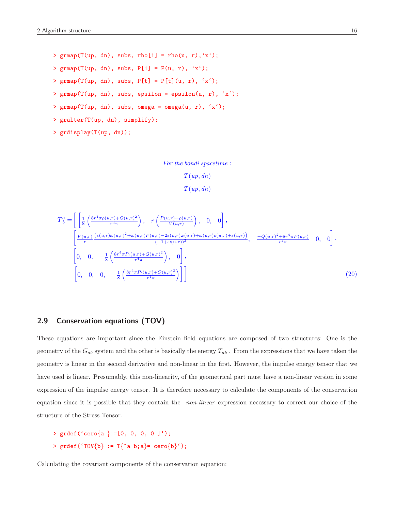```
> \gamma grmap(T(up, dn), subs, rho[1] = rho(u, r), 'x');
> grmap(T(up, dn), subs, P[1] = P(u, r), 'x');
> grmap(T(up, dn), subs, P[t] = P[t](u, r), 'x');
> \gamma grmap(T(up, dn), subs, epsilon = epsilon(u, r), 'x');
> \gamma grmap(T(up, dn), subs, omega = omega(u, r), 'x');
> gralter(T(up, dn), simplify);
```

```
> grdisplay(T(up, dn));
```

```
For the bondi spacetime :
```

```
T(up, dn)T(up, dn)
```

$$
T_{b}^{a} = \left[ \left[ \frac{1}{8} \left( \frac{8r^{4} \pi \rho(u,r) + Q(u,r)^{2}}{r^{4} \pi} \right) , \right. r \left. \left( \frac{P(u,r) + \rho(u,r)}{V(u,r)} \right) , \right. 0, 0 \right],
$$
  
\n
$$
\left[ \frac{V(u,r)}{r} \frac{(\varepsilon(u,r)\omega(u,r)^{2} + \omega(u,r)P(u,r) - 2\varepsilon(u,r)\omega(u,r) + \omega(u,r)\rho(u,r) + \varepsilon(u,r))}{(-1 + \omega(u,r))^{2}}, \left. \frac{-Q(u,r)^{2} + 8r^{4} \pi P(u,r)}{r^{4} \pi}, 0, 0 \right],
$$
  
\n
$$
\left[ 0, 0, -\frac{1}{8} \left( \frac{8r^{4} \pi P_{t}(u,r) + Q(u,r)^{2}}{r^{4} \pi} \right) , \right] , \right]
$$
  
\n
$$
\left[ 0, 0, 0, -\frac{1}{8} \left( \frac{8r^{4} \pi P_{t}(u,r) + Q(u,r)^{2}}{r^{4} \pi} \right) \right] \right]
$$
\n(20)

## <span id="page-15-0"></span>2.9 Conservation equations (TOV)

These equations are important since the Einstein field equations are composed of two structures: One is the geometry of the  $G_{ab}$  system and the other is basically the energy  $T_{ab}$ . From the expressions that we have taken the geometry is linear in the second derivative and non-linear in the first. However, the impulse energy tensor that we have used is linear. Presumably, this non-linearity, of the geometrical part must have a non-linear version in some expression of the impulse energy tensor. It is therefore necessary to calculate the components of the conservation equation since it is possible that they contain the *non-linear* expression necessary to correct our choice of the structure of the Stress Tensor.

```
> \text{grdef}(' \text{cero} \{a \} := [0, 0, 0, 0]');
> \text{grdef}('TOV{b} := T{^a b; a} = \text{cero}{b}';
```
Calculating the covariant components of the conservation equation: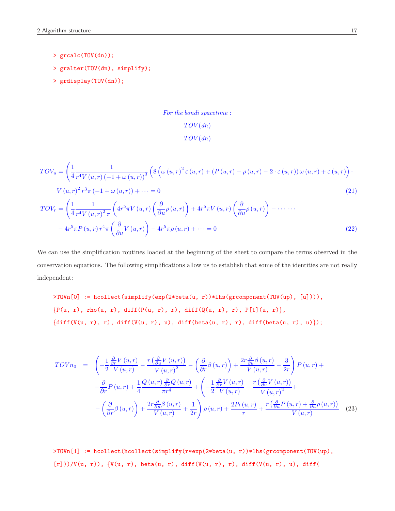- > grcalc(TOV(dn));
- > gralter(TOV(dn), simplify);
- > grdisplay(TOV(dn));

## For the bondi spacetime :  $TOV(dn)$  $TOV(dn)$

$$
TOV_u = \left(\frac{1}{4} \frac{1}{r^4 V(u,r) \left(-1 + \omega(u,r)\right)^3} \left(8 \left(\omega(u,r)^2 \varepsilon(u,r) + (P(u,r) + \rho(u,r) - 2 \cdot \varepsilon(u,r))\omega(u,r) + \varepsilon(u,r)\right)\right)\right)
$$

$$
V(u,r)^2 r^3 \pi \left(-1 + \omega(u,r)\right) + \dots = 0
$$

$$
TOV_r = \left(\frac{1}{4} \frac{1}{r^4 V(u,r)^2 \pi} \left(4r^5 \pi V(u,r) \left(\frac{\partial}{\partial u} \rho(u,r)\right) + 4r^5 \pi V(u,r) \left(\frac{\partial}{\partial u} \rho(u,r)\right) - \dots\right)
$$

$$
-4r^5 \pi P(u,r) r^4 \pi \left(\frac{\partial}{\partial u} V(u,r)\right) - 4r^5 \pi \rho(u,r) + \dots = 0
$$

$$
(22)
$$

We can use the simplification routines loaded at the beginning of the sheet to compare the terms observed in the conservation equations. The following simplifications allow us to establish that some of the identities are not really independent:

>TOVn[0] := hcollect(simplify(exp(2\*beta(u, r))\*lhs(grcomponent(TOV(up), [u]))),  ${P(u, r), rho(u, r), diff(P(u, r), r), diff(Q(u, r), r), P[t](u, r)},$  ${diff(V(u, r), r), diff(V(u, r), u), diff(beta(u, r), r), diff(beta(u, r), u)}$ ;

$$
TOV n_0 = \left(-\frac{1}{2}\frac{\frac{\partial}{\partial r}V(u,r)}{V(u,r)} - \frac{r\left(\frac{\partial}{\partial u}V(u,r)\right)}{V(u,r)^2} - \left(\frac{\partial}{\partial r}\beta(u,r)\right) + \frac{2r\frac{\partial}{\partial u}\beta(u,r)}{V(u,r)} - \frac{3}{2r}\right)P(u,r) +
$$

$$
-\frac{\partial}{\partial r}P(u,r) + \frac{1}{4}\frac{Q(u,r)\frac{\partial}{\partial r}Q(u,r)}{\pi r^4} + \left(-\frac{1}{2}\frac{\frac{\partial}{\partial r}V(u,r)}{V(u,r)} - \frac{r\left(\frac{\partial}{\partial u}V(u,r)\right)}{V(u,r)^2} + \right.
$$

$$
-\left(\frac{\partial}{\partial r}\beta(u,r)\right) + \frac{2r\frac{\partial}{\partial u}\beta(u,r)}{V(u,r)} + \frac{1}{2r}\right)\rho(u,r) + \frac{2P_t(u,r)}{r} + \frac{r\left(\frac{\partial}{\partial u}P(u,r) + \frac{\partial}{\partial u}\rho(u,r)\right)}{V(u,r)} \quad (23)
$$

>TOVn[1] := hcollect(hcollect(simplify(r\*exp(2\*beta(u, r))\*lhs(grcomponent(TOV(up),  $[r])$  /  $V(u, r)$ ,  $V(u, r)$ , beta $(u, r)$ , diff( $V(u, r)$ , r), diff( $V(u, r)$ , u), diff(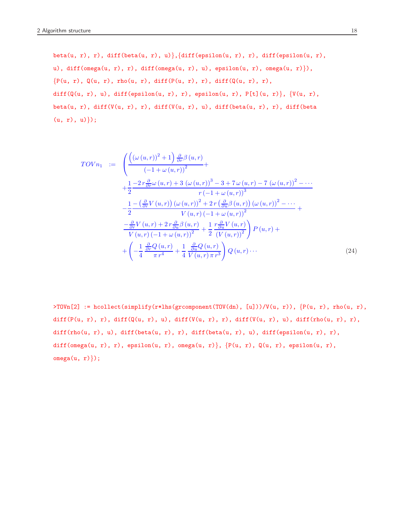beta(u, r), r), diff(beta(u, r), u)}, {diff(epsilon(u, r), r), diff(epsilon(u, r), u), diff(omega(u, r), r), diff(omega(u, r), u), epsilon(u, r), omega(u, r)}),  ${P(u, r), Q(u, r), rho(u, r), diff(P(u, r), r), diff(Q(u, r), r)},$ diff( $Q(u, r)$ , u), diff(epsilon(u, r), r), epsilon(u, r), P[t](u, r)},  $\{V(u, r),$ beta(u, r), diff(V(u, r), r), diff(V(u, r), u), diff(beta(u, r), r), diff(beta  $(u, r), u)$ ;

$$
TOVn_1 := \left( \frac{\left( (\omega(u,r))^{2} + 1 \right) \frac{\partial}{\partial r} \beta(u,r)}{(-1 + \omega(u,r))^{2}} + \frac{1}{2} \frac{-2 r \frac{\partial}{\partial r} \omega(u,r) + 3 (\omega(u,r))^{3} - 3 + 7 \omega(u,r) - 7 (\omega(u,r))^{2} - \cdots}{r (-1 + \omega(u,r))^{3}} \right. \\
\left. - \frac{1}{2} \frac{-\left(\frac{\partial}{\partial r} V(u,r)\right) (\omega(u,r))^{2} + 2 r \left(\frac{\partial}{\partial u} \beta(u,r)\right) (\omega(u,r))^{2} - \cdots}{V(u,r) (-1 + \omega(u,r))^{2}} + \frac{-\frac{\partial}{\partial r} V(u,r) + 2 r \frac{\partial}{\partial u} \beta(u,r)}{V(u,r) (-1 + \omega(u,r))^{2}} + \frac{1}{2} \frac{r \frac{\partial}{\partial u} V(u,r)}{(V(u,r))^{2}} \right) P(u,r) + \left( -\frac{1}{4} \frac{\frac{\partial}{\partial r} Q(u,r)}{\pi r^{4}} + \frac{1}{4} \frac{\frac{\partial}{\partial u} Q(u,r)}{V(u,r) \pi r^{3}} \right) Q(u,r) \cdots \tag{24}
$$

>TOVn[2] := hcollect(simplify(r\*lhs(grcomponent(TOV(dn), [u]))/V(u, r)), {P(u, r), rho(u, r), diff(P(u, r), r), diff(Q(u, r), u), diff(V(u, r), r), diff(V(u, r), u), diff(rho(u, r), r), diff(rho(u, r), u), diff(beta(u, r), r), diff(beta(u, r), u), diff(epsilon(u, r), r), diff(omega(u, r), r), epsilon(u, r), omega(u, r)},  $\{P(u, r), Q(u, r), \text{epsilon}(u, r),\}$  $omega(u, r)$ );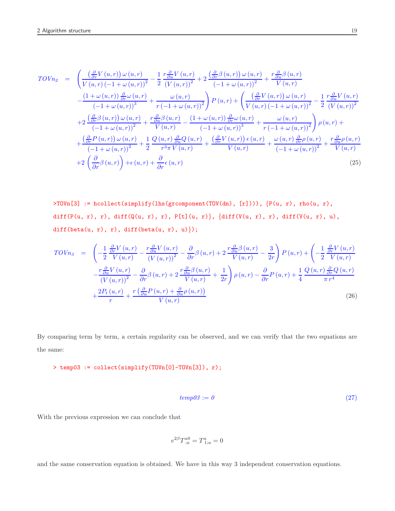$$
TOVn_{2} = \left(\frac{\left(\frac{\partial}{\partial r}V(u,r)\right)\omega(u,r)}{V(u,r)(-1+\omega(u,r))^{2}} - \frac{1}{2}\frac{r\frac{\partial}{\partial u}V(u,r)}{(V(u,r))^{2}} + 2\frac{\left(\frac{\partial}{\partial r}\beta(u,r)\right)\omega(u,r)}{(-1+\omega(u,r))^{2}} + \frac{r\frac{\partial}{\partial u}\beta(u,r)}{V(u,r)} - \frac{(1+\omega(u,r))\frac{\partial}{\partial r}\omega(u,r)}{(-1+\omega(u,r))^{3}} + \frac{\omega(u,r)}{r(-1+\omega(u,r))^{2}}\right)P(u,r) + \left(\frac{\left(\frac{\partial}{\partial r}V(u,r)\right)\omega(u,r)}{V(u,r)(-1+\omega(u,r))^{2}} - \frac{1}{2}\frac{r\frac{\partial}{\partial u}V(u,r)}{(V(u,r))^{2}}\right)P(u,r) + 2\frac{\left(\frac{\partial}{\partial r}\beta(u,r)\right)\omega(u,r)}{(-1+\omega(u,r))^{2}} + \frac{r\frac{\partial}{\partial u}\beta(u,r)}{V(u,r)} - \frac{(1+\omega(u,r))\frac{\partial}{\partial r}\omega(u,r)}{(-1+\omega(u,r))^{3}} + \frac{\omega(u,r)}{r(-1+\omega(u,r))^{2}}\right)\rho(u,r) + \frac{\left(\frac{\partial}{\partial r}P(u,r)\right)\omega(u,r)}{(-1+\omega(u,r))^{2}} + \frac{1}{2}\frac{Q(u,r)\frac{\partial}{\partial u}Q(u,r)}{r^{3}\pi V(u,r)} + \frac{\left(\frac{\partial}{\partial r}V(u,r)\right)\epsilon(u,r)}{V(u,r)} + \frac{\omega(u,r)\frac{\partial}{\partial r}\rho(u,r)}{(-1+\omega(u,r))^{2}} + \frac{r\frac{\partial}{\partial u}\rho(u,r)}{V(u,r)} + 2\left(\frac{\partial}{\partial r}\beta(u,r)\right) + \epsilon(u,r) + \frac{\partial}{\partial r}\epsilon(u,r)
$$
\n(25)

>TOVn[3] := hcollect(simplify(lhs(grcomponent(TOV(dn), [r]))), {P(u, r), rho(u, r), diff(P(u, r), r), diff(Q(u, r), r), P[t](u, r)}, {diff(V(u, r), r), diff(V(u, r), u), diff(beta(u, r), r), diff(beta(u, r), u)});

$$
TOV_{R3} = \left(-\frac{1}{2} \frac{\frac{\partial}{\partial r} V(u,r)}{V(u,r)} - \frac{r \frac{\partial}{\partial u} V(u,r)}{(V(u,r))^{2}} - \frac{\partial}{\partial r} \beta(u,r) + 2 \frac{r \frac{\partial}{\partial u} \beta(u,r)}{V(u,r)} - \frac{3}{2r}\right) P(u,r) + \left(-\frac{1}{2} \frac{\frac{\partial}{\partial r} V(u,r)}{V(u,r)}\right) - \frac{r \frac{\partial}{\partial u} V(u,r)}{(V(u,r))^{2}} - \frac{\partial}{\partial r} \beta(u,r) + 2 \frac{r \frac{\partial}{\partial u} \beta(u,r)}{V(u,r)} + \frac{1}{2r}\right) \rho(u,r) - \frac{\partial}{\partial r} P(u,r) + \frac{1}{4} \frac{Q(u,r) \frac{\partial}{\partial r} Q(u,r)}{\pi r^{4}} + \frac{2P_{t}(u,r)}{r} + \frac{r \left(\frac{\partial}{\partial u} P(u,r) + \frac{\partial}{\partial u} \beta(u,r)\right)}{V(u,r)}
$$
\n(26)

By comparing term by term, a certain regularity can be observed, and we can verify that the two equations are the same:

> temp03 := collect(simplify(TOVn[0]-TOVn[3]), r);

$$
temp03 := 0 \tag{27}
$$

With the previous expression we can conclude that

$$
e^{2\beta}T^{a0}_{\; ;a} = T^a_{\; 1;a} = 0
$$

and the same conservation equation is obtained. We have in this way 3 independent conservation equations.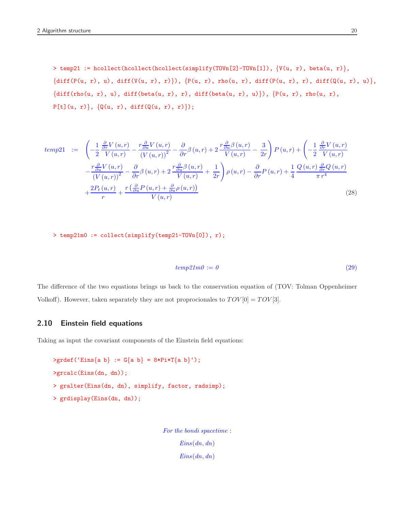> temp21 := hcollect(hcollect(hcollect(simplify(TOVn[2]-TOVn[1]),  $\{V(u, r), \text{ beta}(u, r)\},$  ${diff(P(u, r), u), diff(V(u, r), r)}$ ,  ${P(u, r), rho(u, r), diff(P(u, r), r), diff(Q(u, r), u)}$ ,  ${diff(rho(u, r), u), diff(beta(u, r), r), diff(beta(u, r), u)}$ ,  ${P(u, r), rho(u, r)}$ ,  $P[t](u, r)$ ,  $\{Q(u, r), diff(Q(u, r), r)\})$ ;

$$
temp21 := \left( -\frac{1}{2} \frac{\frac{\partial}{\partial r} V(u, r)}{V(u, r)} - \frac{r \frac{\partial}{\partial u} V(u, r)}{(V(u, r))^{2}} - \frac{\partial}{\partial r} \beta(u, r) + 2 \frac{r \frac{\partial}{\partial u} \beta(u, r)}{V(u, r)} - \frac{3}{2r} \right) P(u, r) + \left( -\frac{1}{2} \frac{\frac{\partial}{\partial r} V(u, r)}{V(u, r)} - \frac{r \frac{\partial}{\partial u} V(u, r)}{(V(u, r))^{2}} - \frac{\partial}{\partial r} \beta(u, r) + 2 \frac{r \frac{\partial}{\partial u} \beta(u, r)}{V(u, r)} + \frac{1}{2r} \right) \rho(u, r) - \frac{\partial}{\partial r} P(u, r) + \frac{1}{4} \frac{Q(u, r) \frac{\partial}{\partial r} Q(u, r)}{\pi r^{4}} + \frac{2P_{t}(u, r)}{r} + \frac{r \left( \frac{\partial}{\partial u} P(u, r) + \frac{\partial}{\partial u} \beta(u, r) \right)}{V(u, r)}
$$
\n
$$
(28)
$$

> temp21m0 := collect(simplify(temp21-TOVn[0]), r);

$$
temp21m0 := 0 \tag{29}
$$

The difference of the two equations brings us back to the conservation equation of (TOV: Tolman Oppenheimer Volkoff). However, taken separately they are not proprocionales to  $TOV[0] = TOV[3]$ .

## 2.10 Einstein field equations

Taking as input the covariant components of the Einstein field equations:

```
>\text{grdef}('Eins{a b} := G{a b} = 8*Pi*T{a b}');>grcalc(Eins(dn, dn));
> gralter(Eins(dn, dn), simplify, factor, radsimp);
> grdisplay(Eins(dn, dn));
```
For the bondi spacetime :  $Eins(dn, dn)$  $Eins(dn, dn)$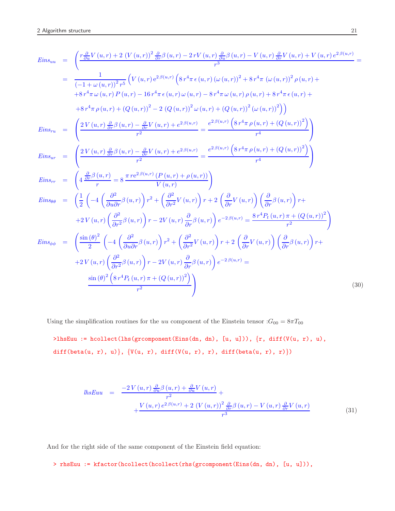$$
Eins_{uu} = \left(\frac{r\frac{\partial}{\partial u}V(u,r) + 2(V(u,r))\frac{\partial}{\partial r}\beta(u,r) - 2rV(u,r)\frac{\partial}{\partial u}\beta(u,r) - V(u,r)\frac{\partial}{\partial r}V(u,r) + V(u,r)e^{2\beta(u,r)}}{r^3}\right)
$$
\n
$$
= \frac{1}{(-1+\omega(u,r))^{2}r^{5}}\left(V(u,r)e^{2\beta(u,r)}\left(8r^{4}\pi\epsilon(u,r)\left(\omega(u,r)\right)^{2} + 8r^{4}\pi\left(\omega(u,r)\right)^{2}\rho(u,r) + 8r^{4}\pi\left(\omega(u,r)\right)^{2}\rho(u,r) + 8r^{4}\pi\left(\omega(u,r)\right)^{2}\rho(u,r) + 8r^{4}\pi\left(\omega(u,r)\right)^{2}\left(\omega(u,r)\right)^{2}\right)
$$
\n
$$
Fins_{ru} = \left(\frac{2V(u,r)\frac{\partial}{\partial r}\beta(u,r) - \frac{\partial}{\partial r}V(u,r) + e^{2\beta(u,r)}}{r^{2}}\right) = \frac{e^{2\beta(u,r)}\left(8r^{4}\pi\rho(u,r) + (Q(u,r))^{2}\right)}{r^{4}}\right)
$$
\n
$$
Eins_{ru} = \left(\frac{2V(u,r)\frac{\partial}{\partial r}\beta(u,r) - \frac{\partial}{\partial r}V(u,r) + e^{2\beta(u,r)}}{r^{2}}\right) = \frac{e^{2\beta(u,r)}\left(8r^{4}\pi\rho(u,r) + (Q(u,r))^{2}\right)}{r^{4}}\right)
$$
\n
$$
Eins_{ur} = \left(\frac{2V(u,r)\frac{\partial}{\partial r}\beta(u,r) - \frac{\partial}{\partial r}V(u,r) + e^{2\beta(u,r)}}{r^{2}}\right) = \frac{e^{2\beta(u,r)}\left(8r^{4}\pi\rho(u,r) + (Q(u,r))^{2}\right)}{r^{4}}\right)
$$
\n
$$
Eins_{\theta\theta} = \left(\frac{1}{2}\left(-4\left(\frac{\partial^{2}}{\partial u\partial r}\beta(u,r)\right)r^{2} + \left(\frac{\partial^{2}}{\partial r}V(u,r)\right)r + 2\left(\frac{\partial}{\partial r}V(u,r)\right)\left(\frac{\partial}{\partial r}\beta(u,r)\right)r + 2V(u,r)\left(\frac{\partial^{2}}{\partial r^{2}}\beta(u,r)\right)r + 2V(u,r)\left
$$

Using the simplification routines for the uu component of the Einstein tensor  $:G_{00} = 8\pi T_{00}$ 

 $\verb|*] \verb|hsum := hcollect(lhs(grcomponent(Eins(dn, dn), [u, u)]), {r, diff(V(u, r), u)},$  $\texttt{diff}(\texttt{beta}(u,~r),~u)\big\},~\big\{\texttt{V}(u,~r),~\texttt{diff}(\texttt{V}(u,~r),~r),~\texttt{diff}(\texttt{beta}(u,~r),~r)\big\})$ 

$$
lhsEuu = \frac{-2 V(u,r) \frac{\partial}{\partial u} \beta(u,r) + \frac{\partial}{\partial u} V(u,r)}{r^2} + \frac{V(u,r) e^{2 \beta(u,r)} + 2 (V(u,r))^2 \frac{\partial}{\partial r} \beta(u,r) - V(u,r) \frac{\partial}{\partial r} V(u,r)}{r^3}
$$
(31)

And for the right side of the same component of the Einstein field equation:

> rhsEuu := kfactor(hcollect(hcollect(rhs(grcomponent(Eins(dn, dn), [u, u])),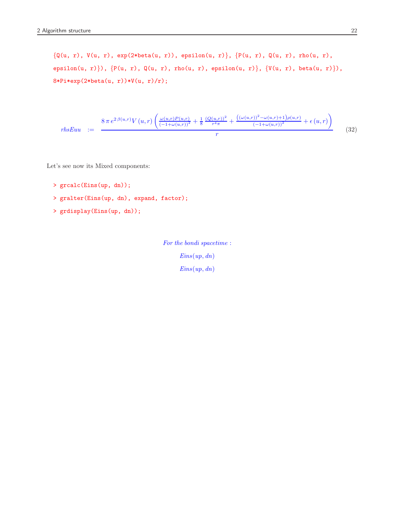{Q(u, r), V(u, r), exp(2\*beta(u, r)), epsilon(u, r)}, {P(u, r), Q(u, r), rho(u, r), epsilon(u, r) }),  $\{P(u, r), Q(u, r),$  rho(u, r), epsilon(u, r) },  $\{V(u, r),$  beta(u, r) }),  $8*Pi*exp(2*beta(u, r))*V(u, r)/r);$ 

$$
rhsEuu := \frac{8\,\pi\,e^{2\,\beta(u,r)}V\,(u,r)\left(\frac{\omega(u,r)P(u,r)}{(-1+\omega(u,r))^2} + \frac{1}{8}\,\frac{(Q(u,r))^2}{r^4\pi} + \frac{(\omega(u,r))^2 - \omega(u,r) + 1)\rho(u,r)}{(-1+\omega(u,r))^2} + \epsilon(u,r)\right)}{r}
$$
(32)

Let's see now its Mixed components:

- > grcalc(Eins(up, dn));
- > gralter(Eins(up, dn), expand, factor);
- > grdisplay(Eins(up, dn));

For the bondi spacetime :  $Eins(up, dn)$  $Eins(up, dn)$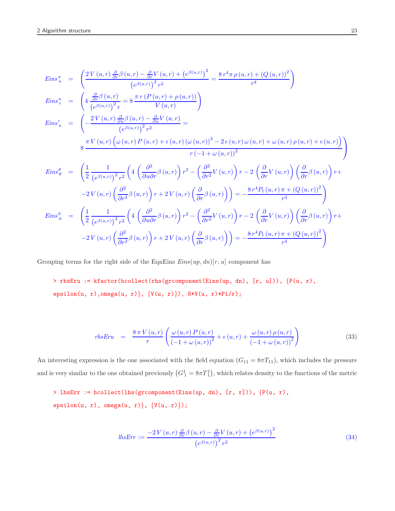$$
Eins_{u}^{u} = \left(\frac{2V(u,r)\frac{\partial}{\partial r}\beta(u,r) - \frac{\partial}{\partial r}V(u,r) + (e^{\beta(u,r)})^{2}}{(e^{\beta(u,r)})^{2}r^{2}}\right)
$$
\n
$$
Eins_{r}^{u} = \left(4\frac{\frac{\partial}{\partial r}\beta(u,r)}{(e^{\beta(u,r)})^{2}r}\right)
$$
\n
$$
Eins_{u}^{r} = \left(4\frac{\frac{\partial}{\partial r}\beta(u,r)}{(e^{\beta(u,r)})^{2}r}\right)
$$
\n
$$
Eins_{u}^{r} = \left(-\frac{2V(u,r)\frac{\partial}{\partial u}\beta(u,r) - \frac{\partial}{\partial u}V(u,r)}{(e^{\beta(u,r)})^{2}r^{2}}\right)
$$
\n
$$
S\frac{\pi V(u,r)\left(\omega(u,r)P(u,r) + e(u,r)(\omega(u,r))^{2} - 2e(u,r)\omega(u,r) + \omega(u,r)\rho(u,r) + e(u,r)\right)}{r(-1+\omega(u,r))^{2}}\right)
$$
\n
$$
Eins_{\theta}^{\theta} = \left(\frac{1}{2}\frac{1}{\left(e^{\beta(u,r)}\right)^{2}r^{2}}\left(4\left(\frac{\partial^{2}}{\partial u\partial r}\beta(u,r)\right)r^{2} - \left(\frac{\partial^{2}}{\partial r}V(u,r)\right)r - 2\left(\frac{\partial}{\partial r}V(u,r)\right)\left(\frac{\partial}{\partial r}\beta(u,r)\right)r + -2V(u,r)\left(\frac{\partial^{2}}{\partial r^{2}}\beta(u,r)\right)r + 2V(u,r)\left(\frac{\partial}{\partial r}\beta(u,r)\right)\right) = -\frac{8r^{4}P_{t}(u,r)\pi + (Q(u,r))^{2}}{r^{4}}\right)
$$
\n
$$
Eins_{\phi}^{\phi} = \left(\frac{1}{2}\frac{1}{\left(e^{\beta(u,r)}\right)^{2}r^{2}}\left(4\left(\frac{\partial^{2}}{\partial u\partial r}\beta(u,r)\right)r^{2} - \left(\frac{\partial^{2}}{\partial r^{2}}V(u,r)\right)r - 2\left(\frac{\partial}{\partial r}V(u,r)\right)\left(\frac{\partial}{\partial r}\beta(u,r)\right)r + -2V(u,r)\left(\frac{\partial}{\partial r^{2}}\beta(u,r)\right)\right) = -\frac{8r^{4}P_{t}(u,r)\pi + (Q(u,r))^{2}}{r^{4
$$

Grouping terms for the right side of the EqnEins  $Eins(up, dn)[r, u]$  component has

> rhsEru := kfactor(hcollect(rhs(grcomponent(Eins(up, dn), [r, u])), {P(u, r), epsilon(u, r),omega(u, r)}, { $V(u, r)$ }),  $8*V(u, r)*Pi(r)$ ;

$$
rhsEvu = \frac{8\,\pi\,V\left(u,r\right)}{r} \left(\frac{\omega\left(u,r\right)P\left(u,r\right)}{\left(-1+\omega\left(u,r\right)\right)^2} + \epsilon\left(u,r\right) + \frac{\omega\left(u,r\right)\rho\left(u,r\right)}{\left(-1+\omega\left(u,r\right)\right)^2}\right) \tag{33}
$$

An interesting expression is the one associated with the field equation  $(G_{11} = 8\pi T_{11})$ , which includes the pressure and is very similar to the one obtained previously  $(G_1^1 = 8\pi T_1^1)$ , which relates density to the functions of the metric

 $>$  lhsErr := hcollect(lhs(gr<br/>component(Eins(up, dn),  $[r, r]),$ <br/> $\{P(u, r),$ epsilon(u, r), omega(u, r)},  $\{V(u, r)\}$ ;

$$
lhsErr := \frac{-2 V(u,r) \frac{\partial}{\partial r} \beta(u,r) - \frac{\partial}{\partial r} V(u,r) + \left(e^{\beta(u,r)}\right)^2}{\left(e^{\beta(u,r)}\right)^2 r^2}
$$
\n(34)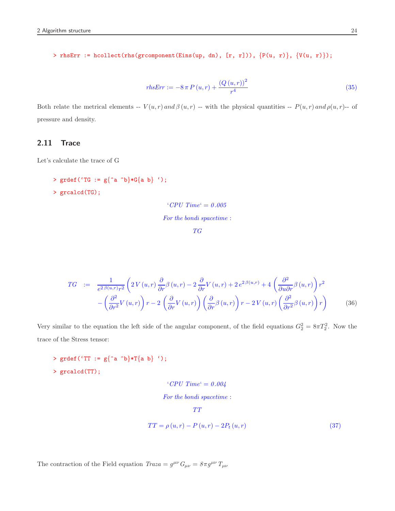> rhsErr := hcollect(rhs(grcomponent(Eins(up, dn), [r, r])), {P(u, r)}, {V(u, r)});

$$
rhsErr := -8 \pi P(u, r) + \frac{(Q(u, r))^2}{r^4}
$$
\n(35)

Both relate the metrical elements --  $V(u,r)$  and  $\beta(u,r)$  -- with the physical quantities --  $P(u,r)$  and  $\rho(u,r)$ -- of pressure and density.

## 2.11 Trace

Let's calculate the trace of G

> grdef('TG :=  $g$ {^a ^b}\*G{a b} '); > grcalcd(TG);

> 'CPU Time' = 0.005 For the bondi spacetime :

> > TG

$$
TG \quad := \quad \frac{1}{e^{2\beta(u,r)}r^2} \left( 2V(u,r) \frac{\partial}{\partial r} \beta(u,r) - 2 \frac{\partial}{\partial r} V(u,r) + 2 e^{2\beta(u,r)} + 4 \left( \frac{\partial^2}{\partial u \partial r} \beta(u,r) \right) r^2 - \left( \frac{\partial^2}{\partial r^2} V(u,r) \right) r - 2 \left( \frac{\partial}{\partial r} V(u,r) \right) \left( \frac{\partial}{\partial r} \beta(u,r) \right) r - 2 V(u,r) \left( \frac{\partial^2}{\partial r^2} \beta(u,r) \right) r \right) \tag{36}
$$

Very similar to the equation the left side of the angular component, of the field equations  $G_2^2 = 8\pi T_2^2$ . Now the trace of the Stress tensor:

> grdef('TT :=  $g\{\hat{a} \hat{b}*\text{T}\{a b\}$ '); > grcalcd(TT);

> 'CPU Time' = 0.004 For the bondi spacetime :  $TT$

$$
TT = \rho(u, r) - P(u, r) - 2P_t(u, r)
$$
\n
$$
(37)
$$

The contraction of the Field equation  $Traza = g^{\mu\nu} G_{\mu\nu} = 8\pi g^{\mu\nu} T_{\mu\nu}$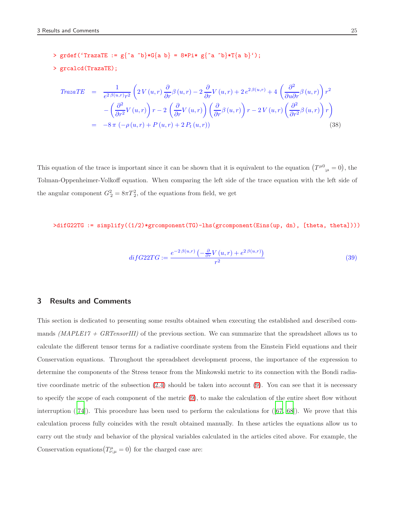> grdef('TrazaTE := g{^a ^b}\*G{a b} = 8\*Pi\* g{^a ^b}\*T{a b}');

```
> grcalcd(TrazaTE);
```

$$
Traza TE = \frac{1}{e^{2\beta(u,r)}r^{2}} \left( 2V(u,r) \frac{\partial}{\partial r} \beta(u,r) - 2 \frac{\partial}{\partial r} V(u,r) + 2 e^{2\beta(u,r)} + 4 \left( \frac{\partial^{2}}{\partial u \partial r} \beta(u,r) \right) r^{2} - \left( \frac{\partial^{2}}{\partial r^{2}} V(u,r) \right) r - 2 \left( \frac{\partial}{\partial r} V(u,r) \right) \left( \frac{\partial}{\partial r} \beta(u,r) \right) r - 2 V(u,r) \left( \frac{\partial^{2}}{\partial r^{2}} \beta(u,r) \right) r \right)
$$
  
= -8 \pi (-\rho(u,r) + P(u,r) + 2 P\_{t}(u,r)) (38)

This equation of the trace is important since it can be shown that it is equivalent to the equation  $(T^{\mu 0}_{;\mu} = 0)$ , the Tolman-Oppenheimer-Volkoff equation. When comparing the left side of the trace equation with the left side of the angular component  $G_2^2 = 8\pi T_2^2$ , of the equations from field, we get

>difG22TG := simplify((1/2)\*grcomponent(TG)-lhs(grcomponent(Eins(up, dn), [theta, theta])))

$$
diffG22TG := \frac{e^{-2\beta(u,r)}\left(-\frac{\partial}{\partial r}V\left(u,r\right) + e^{2\beta(u,r)}\right)}{r^2} \tag{39}
$$

## <span id="page-24-0"></span>3 Results and Comments

This section is dedicated to presenting some results obtained when executing the established and described commands (MAPLE17 + GRTensorIII) of the previous section. We can summarize that the spreadsheet allows us to calculate the different tensor terms for a radiative coordinate system from the Einstein Field equations and their Conservation equations. Throughout the spreadsheet development process, the importance of the expression to determine the components of the Stress tensor from the Minkowski metric to its connection with the Bondi radiative coordinate metric of the subsection [\(2.4\)](#page-7-0) should be taken into account [\(9\)](#page-9-0). You can see that it is necessary to specify the scope of each component of the metric [\(9\)](#page-9-0), to make the calculation of the entire sheet flow without interruption  $([74])$  $([74])$  $([74])$ . This procedure has been used to perform the calculations for  $([67, 68])$  $([67, 68])$  $([67, 68])$  $([67, 68])$  $([67, 68])$ . We prove that this calculation process fully coincides with the result obtained manually. In these articles the equations allow us to carry out the study and behavior of the physical variables calculated in the articles cited above. For example, the Conservation equations  $(T^{\mu}_{\nu;\mu} = 0)$  for the charged case are: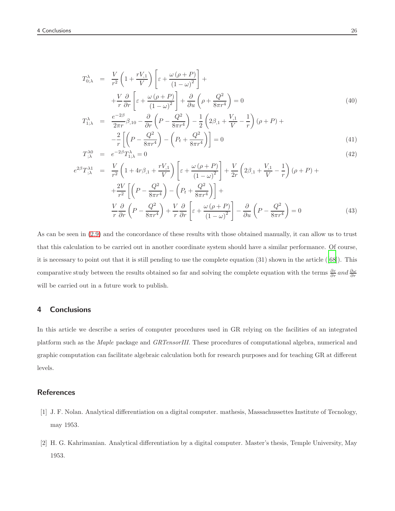$$
T_{0;\lambda}^{\lambda} = \frac{V}{r^2} \left( 1 + \frac{rV_{,1}}{V} \right) \left[ \varepsilon + \frac{\omega (\rho + P)}{(1 - \omega)^2} \right] +
$$
  
+ 
$$
\frac{V}{r} \frac{\partial}{\partial r} \left[ \varepsilon + \frac{\omega (\rho + P)}{(1 - \omega)^2} \right] + \frac{\partial}{\partial u} \left( \rho + \frac{Q^2}{8\pi r^4} \right) = 0
$$
(40)

$$
T_{1;\lambda}^{\lambda} = \frac{e^{-2\beta}}{2\pi r} \beta_{,10} - \frac{\partial}{\partial r} \left( P - \frac{Q^2}{8\pi r^4} \right) - \frac{1}{2} \left( 2\beta_{,1} + \frac{V_{,1}}{V} - \frac{1}{r} \right) (\rho + P) +
$$
  

$$
- \frac{2}{r} \left[ \left( P - \frac{Q^2}{8\pi r^4} \right) - \left( P_t + \frac{Q^2}{8\pi r^4} \right) \right] = 0
$$
 (41)

$$
T_{;\lambda}^{\lambda 0} = e^{-2\beta} T_{1;\lambda}^{\lambda} = 0 \tag{42}
$$

$$
e^{2\beta}T_{;\lambda}^{\lambda 1} = \frac{V}{r^2} \left(1 + 4r\beta_{,1} + \frac{rV_{,1}}{V}\right) \left[\varepsilon + \frac{\omega\left(\rho + P\right)}{\left(1 - \omega\right)^2}\right] + \frac{V}{2r} \left(2\beta_{,1} + \frac{V_{,1}}{V} - \frac{1}{r}\right)\left(\rho + P\right) +
$$

$$
+ \frac{2V}{r^2} \left[\left(P - \frac{Q^2}{8\pi r^4}\right) - \left(P_t + \frac{Q^2}{8\pi r^4}\right)\right] +
$$

$$
\frac{V}{r} \frac{\partial}{\partial r} \left(P - \frac{Q^2}{8\pi r^4}\right) + \frac{V}{r} \frac{\partial}{\partial r} \left[\varepsilon + \frac{\omega\left(\rho + P\right)}{\left(1 - \omega\right)^2}\right] - \frac{\partial}{\partial u} \left(P - \frac{Q^2}{8\pi r^4}\right) = 0 \tag{43}
$$

As can be seen in [\(2.9\)](#page-15-0) and the concordance of these results with those obtained manually, it can allow us to trust that this calculation to be carried out in another coordinate system should have a similar performance. Of course, it is necessary to point out that it is still pending to use the complete equation (31) shown in the article ([\[68\]](#page-31-7)). This comparative study between the results obtained so far and solving the complete equation with the terms  $\frac{\partial \varepsilon}{\partial r}$  and  $\frac{\partial \omega}{\partial r}$ will be carried out in a future work to publish.

## 4 Conclusions

In this article we describe a series of computer procedures used in GR relying on the facilities of an integrated platform such as the Maple package and GRTensorIII. These procedures of computational algebra, numerical and graphic computation can facilitate algebraic calculation both for research purposes and for teaching GR at different levels.

## **References**

- <span id="page-25-0"></span>[1] J. F. Nolan. Analytical differentiation on a digital computer. mathesis, Massachussettes Institute of Tecnology, may 1953.
- <span id="page-25-1"></span>[2] H. G. Kahrimanian. Analytical differentiation by a digital computer. Master's thesis, Temple University, May 1953.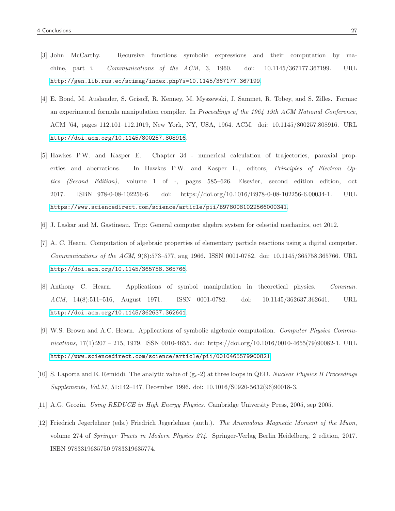- <span id="page-26-0"></span>[3] John McCarthy. Recursive functions symbolic expressions and their computation by machine, part i. Communications of the ACM, 3, 1960. doi: 10.1145/367177.367199. URL <http://gen.lib.rus.ec/scimag/index.php?s=10.1145/367177.367199>.
- <span id="page-26-1"></span>[4] E. Bond, M. Auslander, S. Grisoff, R. Kenney, M. Myszewski, J. Sammet, R. Tobey, and S. Zilles. Formac an experimental formula manipulation compiler. In Proceedings of the 1964 19th ACM National Conference, ACM '64, pages 112.101–112.1019, New York, NY, USA, 1964. ACM. doi: 10.1145/800257.808916. URL <http://doi.acm.org/10.1145/800257.808916>.
- <span id="page-26-2"></span>[5] Hawkes P.W. and Kasper E. Chapter 34 - numerical calculation of trajectories, paraxial properties and aberrations. In Hawkes P.W. and Kasper E., editors, Principles of Electron Optics (Second Edition), volume 1 of -, pages 585–626. Elsevier, second edition edition, oct 2017. ISBN 978-0-08-102256-6. doi: https://doi.org/10.1016/B978-0-08-102256-6.00034-1. URL <https://www.sciencedirect.com/science/article/pii/B9780081022566000341>.
- <span id="page-26-3"></span>[6] J. Laskar and M. Gastineau. Trip: General computer algebra system for celestial mechanics, oct 2012.
- <span id="page-26-4"></span>[7] A. C. Hearn. Computation of algebraic properties of elementary particle reactions using a digital computer. Communications of the ACM, 9(8):573–577, aug 1966. ISSN 0001-0782. doi: 10.1145/365758.365766. URL <http://doi.acm.org/10.1145/365758.365766>.
- <span id="page-26-5"></span>[8] Anthony C. Hearn. Applications of symbol manipulation in theoretical physics. Commun. ACM, 14(8):511–516, August 1971. ISSN 0001-0782. doi: 10.1145/362637.362641. URL <http://doi.acm.org/10.1145/362637.362641>.
- <span id="page-26-6"></span>[9] W.S. Brown and A.C. Hearn. Applications of symbolic algebraic computation. Computer Physics Communications, 17(1):207 – 215, 1979. ISSN 0010-4655. doi: https://doi.org/10.1016/0010-4655(79)90082-1. URL <http://www.sciencedirect.com/science/article/pii/0010465579900821>.
- <span id="page-26-7"></span>[10] S. Laporta and E. Remiddi. The analytic value of  $(g_e-2)$  at three loops in QED. Nuclear Physics B Proceedings Supplements, Vol.51, 51:142–147, December 1996. doi: 10.1016/S0920-5632(96)90018-3.
- <span id="page-26-8"></span>[11] A.G. Grozin. Using REDUCE in High Energy Physics. Cambridge University Press, 2005, sep 2005.
- <span id="page-26-9"></span>[12] Friedrich Jegerlehner (eds.) Friedrich Jegerlehner (auth.). The Anomalous Magnetic Moment of the Muon, volume 274 of Springer Tracts in Modern Physics 274. Springer-Verlag Berlin Heidelberg, 2 edition, 2017. ISBN 9783319635750 9783319635774.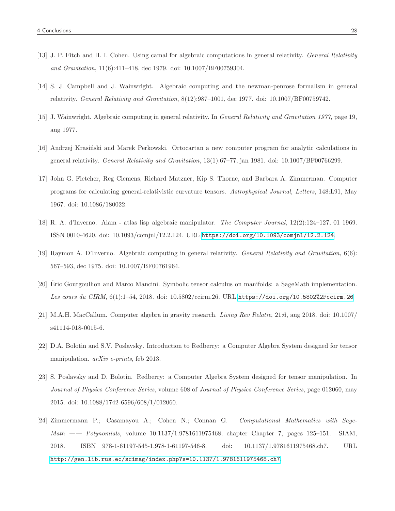- <span id="page-27-0"></span>[13] J. P. Fitch and H. I. Cohen. Using camal for algebraic computations in general relativity. General Relativity and Gravitation, 11(6):411–418, dec 1979. doi: 10.1007/BF00759304.
- <span id="page-27-1"></span>[14] S. J. Campbell and J. Wainwright. Algebraic computing and the newman-penrose formalism in general relativity. General Relativity and Gravitation, 8(12):987–1001, dec 1977. doi: 10.1007/BF00759742.
- <span id="page-27-2"></span>[15] J. Wainwright. Algebraic computing in general relativity. In General Relativity and Gravitation 1977, page 19, aug 1977.
- <span id="page-27-3"></span>[16] Andrzej Krasiński and Marek Perkowski. Ortocartan a new computer program for analytic calculations in general relativity. General Relativity and Gravitation, 13(1):67–77, jan 1981. doi: 10.1007/BF00766299.
- <span id="page-27-4"></span>[17] John G. Fletcher, Reg Clemens, Richard Matzner, Kip S. Thorne, and Barbara A. Zimmerman. Computer programs for calculating general-relativistic curvature tensors. Astrophysical Journal, Letters, 148:L91, May 1967. doi: 10.1086/180022.
- <span id="page-27-5"></span>[18] R. A. d'Inverno. Alam - atlas lisp algebraic manipulator. The Computer Journal, 12(2):124–127, 01 1969. ISSN 0010-4620. doi: 10.1093/comjnl/12.2.124. URL <https://doi.org/10.1093/comjnl/12.2.124>.
- <span id="page-27-6"></span>[19] Raymon A. D'Inverno. Algebraic computing in general relativity. General Relativity and Gravitation, 6(6): 567–593, dec 1975. doi: 10.1007/BF00761964.
- <span id="page-27-7"></span>[20] Eric Gourgoulhon and Marco Mancini. Symbolic tensor calculus on manifolds: a SageMath implementation. Les cours du CIRM, 6(1):1–54, 2018. doi: 10.5802/ccirm.26. URL <https://doi.org/10.5802%2Fccirm.26>.
- <span id="page-27-8"></span>[21] M.A.H. MacCallum. Computer algebra in gravity research. Living Rev Relativ, 21:6, aug 2018. doi: 10.1007/ s41114-018-0015-6.
- <span id="page-27-9"></span>[22] D.A. Bolotin and S.V. Poslavsky. Introduction to Redberry: a Computer Algebra System designed for tensor manipulation. *arXiv e-prints*, feb 2013.
- <span id="page-27-10"></span>[23] S. Poslavsky and D. Bolotin. Redberry: a Computer Algebra System designed for tensor manipulation. In Journal of Physics Conference Series, volume 608 of Journal of Physics Conference Series, page 012060, may 2015. doi: 10.1088/1742-6596/608/1/012060.
- <span id="page-27-11"></span>[24] Zimmermann P.; Casamayou A.; Cohen N.; Connan G. Computational Mathematics with Sage-Math —— Polynomials, volume 10.1137/1.9781611975468, chapter Chapter 7, pages 125–151. SIAM, 2018. ISBN 978-1-61197-545-1,978-1-61197-546-8. doi: 10.1137/1.9781611975468.ch7. URL <http://gen.lib.rus.ec/scimag/index.php?s=10.1137/1.9781611975468.ch7>.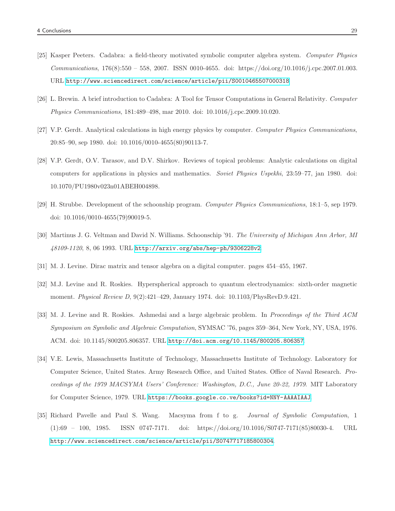- <span id="page-28-0"></span>[25] Kasper Peeters. Cadabra: a field-theory motivated symbolic computer algebra system. Computer Physics Communications, 176(8):550 – 558, 2007. ISSN 0010-4655. doi: https://doi.org/10.1016/j.cpc.2007.01.003. URL <http://www.sciencedirect.com/science/article/pii/S0010465507000318>.
- <span id="page-28-1"></span>[26] L. Brewin. A brief introduction to Cadabra: A Tool for Tensor Computations in General Relativity. Computer Physics Communications, 181:489–498, mar 2010. doi: 10.1016/j.cpc.2009.10.020.
- <span id="page-28-2"></span>[27] V.P. Gerdt. Analytical calculations in high energy physics by computer. Computer Physics Communications, 20:85–90, sep 1980. doi: 10.1016/0010-4655(80)90113-7.
- <span id="page-28-3"></span>[28] V.P. Gerdt, O.V. Tarasov, and D.V. Shirkov. Reviews of topical problems: Analytic calculations on digital computers for applications in physics and mathematics. Soviet Physics Uspekhi, 23:59–77, jan 1980. doi: 10.1070/PU1980v023n01ABEH004898.
- <span id="page-28-4"></span>[29] H. Strubbe. Development of the schoonship program. Computer Physics Communications, 18:1–5, sep 1979. doi: 10.1016/0010-4655(79)90019-5.
- <span id="page-28-5"></span>[30] Martinus J. G. Veltman and David N. Williams. Schoonschip '91. The University of Michigan Ann Arbor, MI 48109-1120, 8, 06 1993. URL <http://arxiv.org/abs/hep-ph/9306228v2>.
- <span id="page-28-6"></span>[31] M. J. Levine. Dirac matrix and tensor algebra on a digital computer. pages 454–455, 1967.
- <span id="page-28-7"></span>[32] M.J. Levine and R. Roskies. Hyperspherical approach to quantum electrodynamics: sixth-order magnetic moment. Physical Review D, 9(2):421–429, January 1974. doi: 10.1103/PhysRevD.9.421.
- <span id="page-28-8"></span>[33] M. J. Levine and R. Roskies. Ashmedai and a large algebraic problem. In Proceedings of the Third ACM Symposium on Symbolic and Algebraic Computation, SYMSAC '76, pages 359–364, New York, NY, USA, 1976. ACM. doi: 10.1145/800205.806357. URL <http://doi.acm.org/10.1145/800205.806357>.
- <span id="page-28-9"></span>[34] V.E. Lewis, Massachusetts Institute of Technology, Massachusetts Institute of Technology. Laboratory for Computer Science, United States. Army Research Office, and United States. Office of Naval Research. Proceedings of the 1979 MACSYMA Users' Conference: Washington, D.C., June 20-22, 1979. MIT Laboratory for Computer Science, 1979. URL <https://books.google.co.ve/books?id=NNY-AAAAIAAJ>.
- <span id="page-28-10"></span>[35] Richard Pavelle and Paul S. Wang. Macsyma from f to g. Journal of Symbolic Computation, 1 (1):69 – 100, 1985. ISSN 0747-7171. doi: https://doi.org/10.1016/S0747-7171(85)80030-4. URL <http://www.sciencedirect.com/science/article/pii/S0747717185800304>.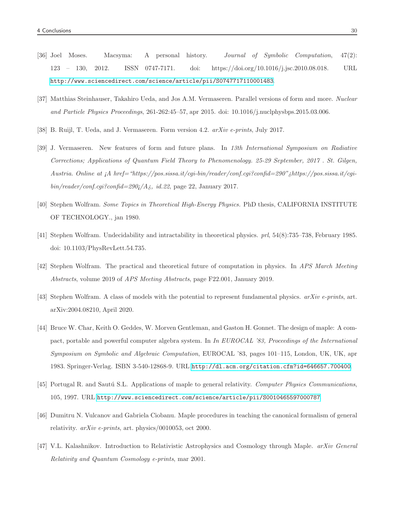- <span id="page-29-0"></span>[36] Joel Moses. Macsyma: A personal history. Journal of Symbolic Computation, 47(2): 123 – 130, 2012. ISSN 0747-7171. doi: https://doi.org/10.1016/j.jsc.2010.08.018. URL <http://www.sciencedirect.com/science/article/pii/S0747717110001483>.
- <span id="page-29-1"></span>[37] Matthias Steinhauser, Takahiro Ueda, and Jos A.M. Vermaseren. Parallel versions of form and more. Nuclear and Particle Physics Proceedings, 261-262:45–57, apr 2015. doi: 10.1016/j.nuclphysbps.2015.03.006.
- <span id="page-29-2"></span>[38] B. Ruijl, T. Ueda, and J. Vermaseren. Form version 4.2. arXiv e-prints, July 2017.
- <span id="page-29-3"></span>[39] J. Vermaseren. New features of form and future plans. In 13th International Symposium on Radiative Corrections; Applications of Quantum Field Theory to Phenomenology. 25-29 September, 2017 . St. Gilgen, Austria. Online at ¡A href="https://pos.sissa.it/cgi-bin/reader/conf.cgi?confid=290"¿https://pos.sissa.it/cgi $bin/reader/conf.cgi?conf.d=290j/A_{\delta}$ , id.22, page 22, January 2017.
- <span id="page-29-4"></span>[40] Stephen Wolfram. Some Topics in Theoretical High-Energy Physics. PhD thesis, CALIFORNIA INSTITUTE OF TECHNOLOGY., jan 1980.
- <span id="page-29-5"></span>[41] Stephen Wolfram. Undecidability and intractability in theoretical physics. prl, 54(8):735–738, February 1985. doi: 10.1103/PhysRevLett.54.735.
- <span id="page-29-6"></span>[42] Stephen Wolfram. The practical and theoretical future of computation in physics. In APS March Meeting Abstracts, volume 2019 of APS Meeting Abstracts, page F22.001, January 2019.
- <span id="page-29-7"></span>[43] Stephen Wolfram. A class of models with the potential to represent fundamental physics. arXiv e-prints, art. arXiv:2004.08210, April 2020.
- <span id="page-29-8"></span>[44] Bruce W. Char, Keith O. Geddes, W. Morven Gentleman, and Gaston H. Gonnet. The design of maple: A compact, portable and powerful computer algebra system. In In EUROCAL '83, Proceedings of the International Symposium on Symbolic and Algebraic Computation, EUROCAL '83, pages 101–115, London, UK, UK, apr 1983. Springer-Verlag. ISBN 3-540-12868-9. URL <http://dl.acm.org/citation.cfm?id=646657.700400>.
- <span id="page-29-9"></span>[45] Portugal R. and Sautú S.L. Applications of maple to general relativity. Computer Physics Communications, 105, 1997. URL <http://www.sciencedirect.com/science/article/pii/S0010465597000787>.
- <span id="page-29-10"></span>[46] Dumitru N. Vulcanov and Gabriela Ciobanu. Maple procedures in teaching the canonical formalism of general relativity. arXiv e-prints, art. physics/0010053, oct 2000.
- <span id="page-29-11"></span>[47] V.L. Kalashnikov. Introduction to Relativistic Astrophysics and Cosmology through Maple. arXiv General Relativity and Quantum Cosmology e-prints, mar 2001.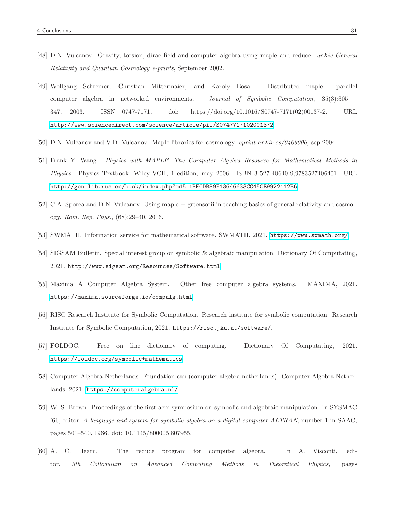- <span id="page-30-0"></span>[48] D.N. Vulcanov. Gravity, torsion, dirac field and computer algebra using maple and reduce. arXiv General Relativity and Quantum Cosmology e-prints, September 2002.
- <span id="page-30-1"></span>[49] Wolfgang Schreiner, Christian Mittermaier, and Karoly Bosa. Distributed maple: parallel computer algebra in networked environments. Journal of Symbolic Computation, 35(3):305 – 347, 2003. ISSN 0747-7171. doi: https://doi.org/10.1016/S0747-7171(02)00137-2. URL <http://www.sciencedirect.com/science/article/pii/S0747717102001372>.
- <span id="page-30-2"></span>[50] D.N. Vulcanov and V.D. Vulcanov. Maple libraries for cosmology. eprint arXiv:cs/0409006, sep 2004.
- <span id="page-30-3"></span>[51] Frank Y. Wang. Physics with MAPLE: The Computer Algebra Resource for Mathematical Methods in Physics. Physics Textbook. Wiley-VCH, 1 edition, may 2006. ISBN 3-527-40640-9,9783527406401. URL <http://gen.lib.rus.ec/book/index.php?md5=1BFCDB89E13646633CC45CE9922112B6>.
- <span id="page-30-4"></span>[52] C.A. Sporea and D.N. Vulcanov. Using maple + grtensorii in teaching basics of general relativity and cosmology. Rom. Rep. Phys., (68):29–40, 2016.
- <span id="page-30-5"></span>[53] SWMATH. Information service for mathematical software. SWMATH, 2021. <https://www.swmath.org/>.
- <span id="page-30-6"></span>[54] SIGSAM Bulletin. Special interest group on symbolic & algebraic manipulation. Dictionary Of Computating, 2021. <http://www.sigsam.org/Resources/Software.html>.
- <span id="page-30-7"></span>[55] Maxima A Computer Algebra System. Other free computer algebra systems. MAXIMA, 2021. <https://maxima.sourceforge.io/compalg.html>.
- <span id="page-30-8"></span>[56] RISC Research Institute for Symbolic Computation. Research institute for symbolic computation. Research Institute for Symbolic Computation, 2021. <https://risc.jku.at/software/>.
- <span id="page-30-9"></span>[57] FOLDOC. Free on line dictionary of computing. Dictionary Of Computating, 2021. <https://foldoc.org/symbolic+mathematics>.
- <span id="page-30-10"></span>[58] Computer Algebra Netherlands. Foundation can (computer algebra netherlands). Computer Algebra Netherlands, 2021. <https://computeralgebra.nl/>.
- <span id="page-30-11"></span>[59] W. S. Brown. Proceedings of the first acm symposium on symbolic and algebraic manipulation. In SYSMAC '66, editor, A language and system for symbolic algebra on a digital computer ALTRAN, number 1 in SAAC, pages 501–540, 1966. doi: 10.1145/800005.807955.
- <span id="page-30-12"></span>[60] A. C. Hearn. The reduce program for computer algebra. In A. Visconti, editor, 3th Colloquium on Advanced Computing Methods in Theoretical Physics, pages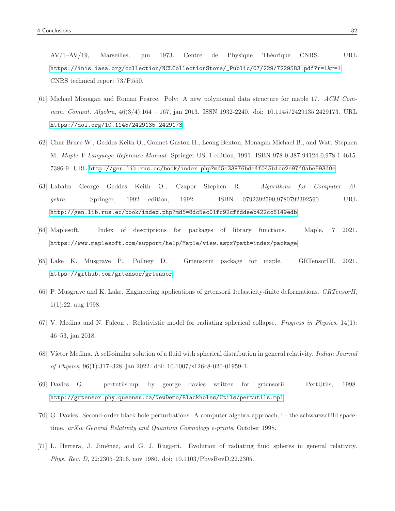AV/1–AV/19, Marseilles, jun 1973. Centre de Physique Théorique CNRS. URL [https://inis.iaea.org/collection/NCLCollectionStore/\\_Public/07/229/7229583.pdf?r=1&r=1](https://inis.iaea.org/collection/NCLCollectionStore/_Public/07/229/7229583.pdf?r=1&r=1). CNRS technical report 73/P.550.

- <span id="page-31-0"></span>[61] Michael Monagan and Roman Pearce. Poly: A new polynomial data structure for maple 17. ACM Commun. Comput. Algebra, 46(3/4):164 – 167, jan 2013. ISSN 1932-2240. doi: 10.1145/2429135.2429173. URL <https://doi.org/10.1145/2429135.2429173>.
- <span id="page-31-1"></span>[62] Char Bruce W., Geddes Keith O., Gonnet Gaston H., Leong Benton, Monagan Michael B., and Watt Stephen M. Maple V Language Reference Manual. Springer US, 1 edition, 1991. ISBN 978-0-387-94124-0,978-1-4615- 7386-9. URL <http://gen.lib.rus.ec/book/index.php?md5=33976bde4f045b1ce2e97f0abe593d0e>.
- <span id="page-31-2"></span>[63] Labahn George Geddes Keith O., Czapor Stephen R. Algorithms for Computer Algebra. Springer, 1992 edition, 1992. ISBN 0792392590,9780792392590. URL <http://gen.lib.rus.ec/book/index.php?md5=8dc5ec01fc92cffddeeb422cc6149edb>.
- <span id="page-31-3"></span>[64] Maplesoft. Index of descriptions for packages of library functions. Maple, 7 2021. <https://www.maplesoft.com/support/help/Maple/view.aspx?path=index/package>.
- <span id="page-31-4"></span>[65] Lake K. Musgrave P., Pollney D. Grtensoriii package for maple. GRTensorIII, 2021. <https://github.com/grtensor/grtensor>.
- <span id="page-31-5"></span>[66] P. Musgrave and K. Lake. Engineering applications of grtensorii 1:elasticity-finite deformations. GRTensorII, 1(1):22, aug 1998.
- <span id="page-31-6"></span>[67] V. Medina and N. Falcon . Relativistic model for radiating spherical collapse. Progress in Physics, 14(1): 46–53, jan 2018.
- <span id="page-31-7"></span>[68] Víctor Medina. A self-similar solution of a fluid with spherical distribution in general relativity. Indian Journal of Physics, 96(1):317–328, jan 2022. doi: 10.1007/s12648-020-01959-1.
- <span id="page-31-8"></span>[69] Davies G. pertutils.mpl by george davies written for grtensorii. PertUtils, 1998. <http://grtensor.phy.queensu.ca/NewDemo/Blackholes/Utils/pertutils.mpl>.
- <span id="page-31-9"></span>[70] G. Davies. Second-order black hole perturbations: A computer algebra approach, i - the schwarzschild spacetime. arXiv General Relativity and Quantum Cosmology e-prints, October 1998.
- <span id="page-31-10"></span>[71] L. Herrera, J. Jim´enez, and G. J. Ruggeri. Evolution of radiating fluid spheres in general relativity. Phys. Rev. D, 22:2305–2316, nov 1980. doi: 10.1103/PhysRevD.22.2305.